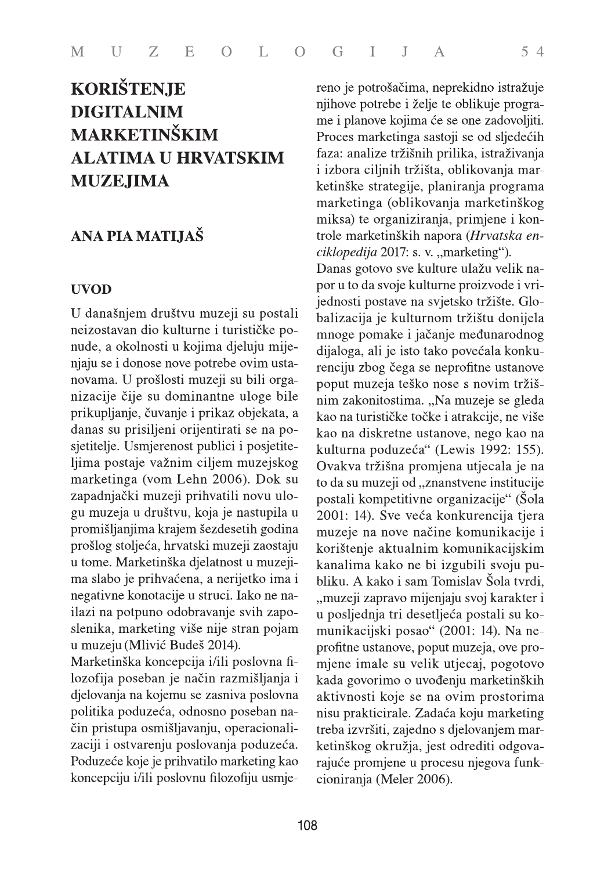# **KORIŠTENJE DIGITALNIM MARKETINŠKIM ALATIMA U HRVATSKIM MUZEJIMA**

# ANA PIA MATIJAŠ

#### **UVOD**

U današnjem društvu muzeji su postali neizostavan dio kulturne i turističke ponude, a okolnosti u kojima djeluju mijenjaju se i donose nove potrebe ovim ustanovama. U prošlosti muzeji su bili organizacije čije su dominantne uloge bile prikupljanje, čuvanje i prikaz objekata, a danas su prisiljeni orijentirati se na posjetitelje. Usmjerenost publici i posjetiteljima postaje važnim ciljem muzejskog marketinga (vom Lehn 2006). Dok su zapadnjački muzeji prihvatili novu ulogu muzeja u društvu, koja je nastupila u promišljanjima krajem šezdesetih godina prošlog stoljeća, hrvatski muzeji zaostaju u tome. Marketinška djelatnost u muzejima slabo je prihvaćena, a nerijetko ima i negativne konotacije u struci. Iako ne nailazi na potpuno odobravanje svih zaposlenika, marketing više nije stran pojam u muzeju (Mlivić Budeš 2014).

Marketinška koncepcija i/ili poslovna filozofija poseban je način razmišljanja i djelovanja na kojemu se zasniva poslovna politika poduzeća, odnosno poseban način pristupa osmišljavanju, operacionalizaciji i ostvarenju poslovanja poduzeća. Poduzeće koje je prihvatilo marketing kao koncepciju i/ili poslovnu filozofiju usmjereno je potrošačima, neprekidno istražuje njihove potrebe i želje te oblikuje programe i planove kojima će se one zadovoljiti. Proces marketinga sastoji se od sljedećih faza: analize tržišnih prilika, istraživanja i izbora ciljnih tržišta, oblikovanja marketinške strategije, planiranja programa marketinga (oblikovanja marketinškog miksa) te organiziranja, primjene i kontrole marketinških napora (Hrvatska enciklopedija 2017: s. v. "marketing"). Danas gotovo sve kulture ulažu velik napor u to da svoje kulturne proizvode i vrijednosti postave na svjetsko tržište. Globalizacija je kulturnom tržištu donijela mnoge pomake i jačanje međunarodnog dijaloga, ali je isto tako povećala konkurenciju zbog čega se neprofitne ustanove poput muzeja teško nose s novim tržišnim zakonitostima. "Na muzeje se gleda kao na turističke točke i atrakcije, ne više kao na diskretne ustanove, nego kao na kulturna poduzeća" (Lewis 1992: 155). Ovakva tržišna promjena utjecala je na to da su muzeji od "znanstvene institucije postali kompetitivne organizacije" (Šola 2001: 14). Sve veća konkurencija tjera muzeje na nove načine komunikacije i korištenje aktualnim komunikacijskim kanalima kako ne bi izgubili svoju publiku. A kako i sam Tomislav Šola tvrdi. "muzeji zapravo mijenjaju svoj karakter i u posljednja tri desetljeća postali su komunikacijski posao" (2001: 14). Na neprofitne ustanove, poput muzeja, ove promjene imale su velik utjecaj, pogotovo kada govorimo o uvođenju marketinških aktivnosti koje se na ovim prostorima nisu prakticirale. Zadaća koju marketing treba izvršiti, zajedno s djelovanjem marketinškog okružja, jest odrediti odgovarajuće promjene u procesu njegova funkcioniranja (Meler 2006).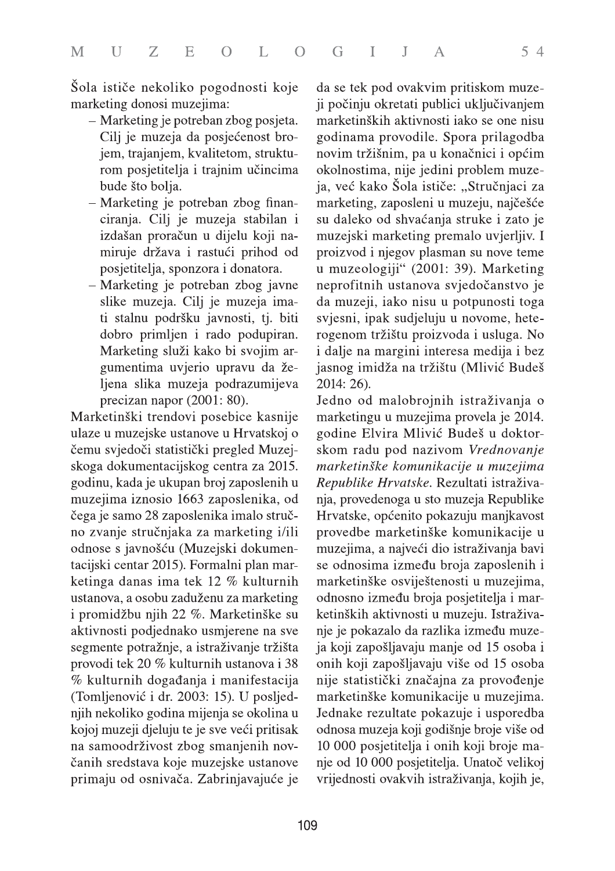Šola ističe nekoliko pogodnosti koje marketing donosi muzejima:

- Marketing je potreban zbog posjeta. Cilj je muzeja da posjećenost brojem, trajanjem, kvalitetom, strukturom posjetitelja i trajnim učincima bude što bolja.
- Marketing je potreban zbog financiranja. Cilj je muzeja stabilan i izdašan proračun u dijelu koji namiruje država i rastući prihod od posjetitelja, sponzora i donatora.
- Marketing je potreban zbog javne slike muzeja. Cilj je muzeja imati stalnu podršku javnosti, tj. biti dobro primljen i rado podupiran. Marketing služi kako bi svojim argumentima uvjerio upravu da željena slika muzeja podrazumijeva precizan napor (2001: 80).

Marketinški trendovi posebice kasnije ulaze u muzejske ustanove u Hrvatskoj o čemu svjedoči statistički pregled Muzejskoga dokumentacijskog centra za 2015. godinu, kada je ukupan broj zaposlenih u muzejima iznosio 1663 zaposlenika, od čega je samo 28 zaposlenika imalo stručno zvanje stručnjaka za marketing i/ili odnose s javnošću (Muzejski dokumentacijski centar 2015). Formalni plan marketinga danas ima tek 12 % kulturnih ustanova, a osobu zaduženu za marketing i promidžbu njih 22 %. Marketinške su aktivnosti podjednako usmjerene na sve segmente potražnje, a istraživanje tržišta provodi tek 20 % kulturnih ustanova i 38 % kulturnih događanja i manifestacija (Tomljenović i dr. 2003: 15). U posljednjih nekoliko godina mijenja se okolina u kojoj muzeji djeluju te je sve veći pritisak na samoodrživost zbog smanjenih novčanih sredstava koje muzejske ustanove primaju od osnivača. Zabrinjavajuće je da se tek pod ovakvim pritiskom muzeji počinju okretati publici uključivanjem marketinških aktivnosti iako se one nisu godinama provodile. Spora prilagodba novim tržišnim, pa u konačnici i općim okolnostima, nije jedini problem muzeja, već kako Šola ističe: "Stručnjaci za marketing, zaposleni u muzeju, najčešće su daleko od shvaćanja struke i zato je muzejski marketing premalo uvjerljiv. I proizvod i njegov plasman su nove teme u muzeologiji" (2001: 39). Marketing neprofitnih ustanova svjedočanstvo je da muzeji, iako nisu u potpunosti toga svjesni, ipak sudjeluju u novome, heterogenom tržištu proizvoda i usluga. No i dalje na margini interesa medija i bez jasnog imidža na tržištu (Mlivić Budeš 2014: 26).

Jedno od malobrojnih istraživanja o marketingu u muzejima provela je 2014. godine Elvira Mlivić Budeš u doktorskom radu pod nazivom Vrednovanje marketinške komunikacije u muzejima Republike Hrvatske. Rezultati istraživanja, provedenoga u sto muzeja Republike Hrvatske, općenito pokazuju manjkavost provedbe marketinške komunikacije u muzejima, a najveći dio istraživanja bavi se odnosima između broja zaposlenih i marketinške osviještenosti u muzejima, odnosno između broja posjetitelja i marketinških aktivnosti u muzeju. Istraživanje je pokazalo da razlika između muzeja koji zapošljavaju manje od 15 osoba i onih koji zapošljavaju više od 15 osoba nije statistički značajna za provođenje marketinške komunikacije u muzejima. Jednake rezultate pokazuje i usporedba odnosa muzeja koji godišnje broje više od 10 000 posjetitelja i onih koji broje manje od 10 000 posjetitelja. Unatoč velikoj vrijednosti ovakvih istraživanja, kojih je,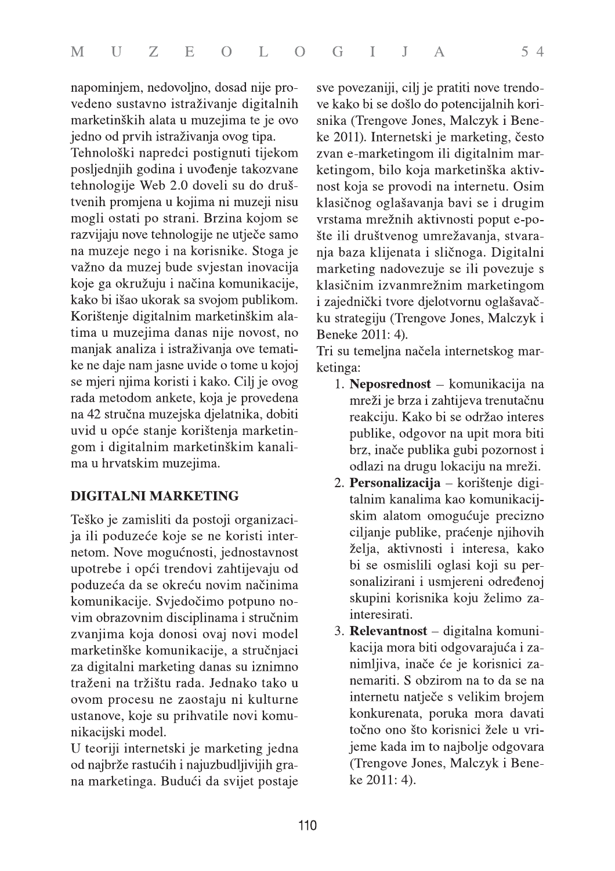napominjem, nedovoljno, dosad nije provedeno sustavno istraživanje digitalnih marketinških alata u muzejima te je ovo jedno od prvih istraživanja ovog tipa.

Tehnološki napredci postignuti tijekom posljednjih godina i uvođenje takozvane tehnologije Web 2.0 doveli su do društvenih promjena u kojima ni muzeji nisu mogli ostati po strani. Brzina kojom se razvijaju nove tehnologije ne utječe samo na muzeje nego i na korisnike. Stoga je važno da muzej bude svjestan inovacija koje ga okružuju i načina komunikacije, kako bi išao ukorak sa svojom publikom. Korištenje digitalnim marketinškim alatima u muzejima danas nije novost, no manjak analiza i istraživanja ove tematike ne daje nam jasne uvide o tome u kojoj se mjeri njima koristi i kako. Cilj je ovog rada metodom ankete, koja je provedena na 42 stručna muzejska djelatnika, dobiti uvid u opće stanje korištenja marketingom i digitalnim marketinškim kanalima u hrvatskim muzejima.

## **DIGITALNI MARKETING**

Teško je zamisliti da postoji organizacija ili poduzeće koje se ne koristi internetom. Nove mogućnosti, jednostavnost upotrebe i opći trendovi zahtijevaju od poduzeća da se okreću novim načinima komunikacije. Svjedočimo potpuno novim obrazovnim disciplinama i stručnim zvanjima koja donosi ovaj novi model marketinške komunikacije, a stručnjaci za digitalni marketing danas su iznimno traženi na tržištu rada. Jednako tako u ovom procesu ne zaostaju ni kulturne ustanove, koje su prihvatile novi komunikacijski model.

U teoriji internetski je marketing jedna od najbrže rastućih i najuzbudljivijih grana marketinga. Budući da svijet postaje sve povezaniji, cilj je pratiti nove trendove kako bi se došlo do potencijalnih korisnika (Trengove Jones, Malczyk i Beneke 2011). Internetski je marketing, često zvan e-marketingom ili digitalnim marketingom, bilo koja marketinška aktivnost koja se provodi na internetu. Osim klasičnog oglašavanja bavi se i drugim vrstama mrežnih aktivnosti poput e-pošte ili društvenog umrežavanja, stvaranja baza klijenata i sličnoga. Digitalni marketing nadovezuje se ili povezuje s klasičnim izvanmrežnim marketingom i zajednički tvore djelotvornu oglašavačku strategiju (Trengove Jones, Malczyk i Beneke 2011: 4).

Tri su temeljna načela internetskog marketinga:

- 1. Neposrednost komunikacija na mreži je brza i zahtijeva trenutačnu reakciju. Kako bi se održao interes publike, odgovor na upit mora biti brz, inače publika gubi pozornost i odlazi na drugu lokaciju na mreži.
- 2. Personalizacija korištenje digitalnim kanalima kao komunikacijskim alatom omogućuje precizno ciljanje publike, praćenje njihovih želja, aktivnosti i interesa, kako bi se osmislili oglasi koji su personalizirani i usmjereni određenoj skupini korisnika koju želimo zainteresirati.
- 3. Relevantnost digitalna komunikacija mora biti odgovarajuća i zanimljiva, inače će je korisnici zanemariti. S obzirom na to da se na internetu natječe s velikim brojem konkurenata, poruka mora davati točno ono što korisnici žele u vrijeme kada im to najbolje odgovara (Trengove Jones, Malczyk i Beneke  $2011:4$ ).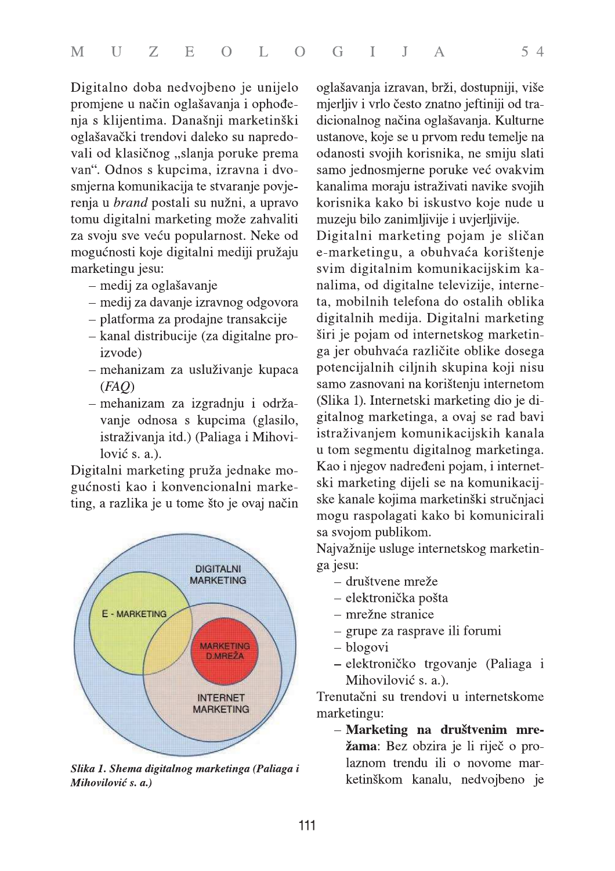Digitalno doba nedvojbeno je unijelo promjene u način oglašavanja i ophođenja s klijentima. Današnji marketinški oglašavački trendovi daleko su napredovali od klasičnog "slanja poruke prema van". Odnos s kupcima, izravna i dvosmjerna komunikacija te stvaranje povjerenja u *brand* postali su nužni, a upravo tomu digitalni marketing može zahvaliti za svoju sve veću popularnost. Neke od mogućnosti koje digitalni mediji pružaju marketingu jesu:

- medij za oglašavanje
- medij za davanje izravnog odgovora
- platforma za prodajne transakcije
- kanal distribucije (za digitalne proizvode)
- mehanizam za usluživanje kupaca  $(FAO)$
- mehanizam za izgradnju i održavanje odnosa s kupcima (glasilo, istraživanja itd.) (Paliaga i Mihovilović s. a.).

Digitalni marketing pruža jednake mogućnosti kao i konvencionalni marketing, a razlika je u tome što je ovaj način



Slika 1. Shema digitalnog marketinga (Paliaga i Mihovilović s. a.)

oglašavanja izravan, brži, dostupniji, više mjerljiv i vrlo često znatno jeftiniji od tradicionalnog načina oglašavanja. Kulturne ustanove, koje se u prvom redu temelje na odanosti svojih korisnika, ne smiju slati samo jednosmjerne poruke već ovakvim kanalima moraju istraživati navike svojih korisnika kako bi iskustvo koje nude u muzeju bilo zanimljivije i uvjerljivije.

Digitalni marketing pojam je sličan e-marketingu, a obuhvaća korištenje svim digitalnim komunikacijskim kanalima, od digitalne televizije, interneta, mobilnih telefona do ostalih oblika digitalnih medija. Digitalni marketing širi je pojam od internetskog marketinga jer obuhvaća različite oblike dosega potencijalnih ciljnih skupina koji nisu samo zasnovani na korištenju internetom (Slika 1). Internetski marketing dio je digitalnog marketinga, a ovaj se rad bavi istraživanjem komunikacijskih kanala u tom segmentu digitalnog marketinga. Kao i njegov nadređeni pojam, i internetski marketing dijeli se na komunikacijske kanale kojima marketinški stručnjaci mogu raspolagati kako bi komunicirali sa svojom publikom.

Najvažnije usluge internetskog marketinga jesu:

- društvene mreže
- elektronička pošta
- mrežne stranice
- grupe za rasprave ili forumi
- blogovi
- elektroničko trgovanje (Paliaga i Mihovilović s. a.).

Trenutačni su trendovi u internetskome marketingu:

- Marketing na društvenim mrežama: Bez obzira je li riječ o prolaznom trendu ili o novome marketinškom kanalu, nedvojbeno je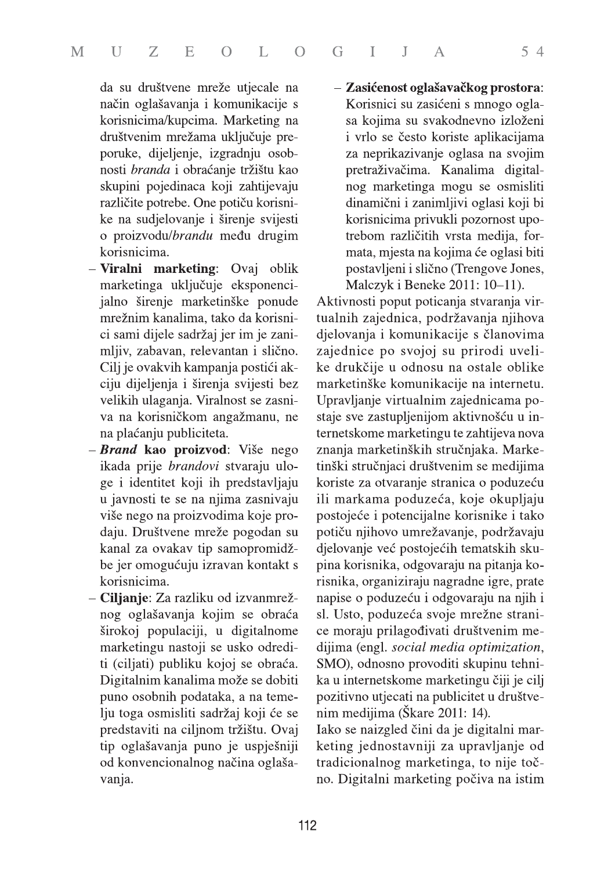da su društvene mreže utjecale na način oglašavanja i komunikacije s korisnicima/kupcima. Marketing na društvenim mrežama uključuje preporuke, dijeljenje, izgradnju osobnosti branda i obraćanje tržištu kao skupini pojedinaca koji zahtijevaju različite potrebe. One potiču korisnike na sudjelovanje i širenje svijesti o proizvodu/brandu među drugim korisnicima.

- Viralni marketing: Ovaj oblik marketinga uključuje eksponencijalno širenje marketinške ponude mrežnim kanalima, tako da korisnici sami dijele sadržaj jer im je zanimljiv, zabavan, relevantan i slično. Cilj je ovakvih kampanja postići akciju dijeljenja i širenja svijesti bez velikih ulaganja. Viralnost se zasniva na korisničkom angažmanu, ne na plaćanju publiciteta.
- Brand kao proizvod: Više nego ikada prije brandovi stvaraju uloge i identitet koji ih predstavljaju u javnosti te se na njima zasnivaju više nego na proizvodima koje prodaju. Društvene mreže pogodan su kanal za ovakav tip samopromidžbe jer omogućuju izravan kontakt s korisnicima.
- Ciljanje: Za razliku od izvanmrežnog oglašavanja kojim se obraća širokoj populaciji, u digitalnome marketingu nastoji se usko odrediti (ciljati) publiku kojoj se obraća. Digitalnim kanalima može se dobiti puno osobnih podataka, a na temelju toga osmisliti sadržaj koji će se predstaviti na ciljnom tržištu. Ovaj tip oglašavanja puno je uspješniji od konvencionalnog načina oglašavanja.

- Zasićenost oglašavačkog prostora: Korisnici su zasićeni s mnogo oglasa kojima su svakodnevno izloženi i vrlo se često koriste aplikacijama za neprikazivanje oglasa na svojim pretraživačima. Kanalima digitalnog marketinga mogu se osmisliti dinamični i zanimljivi oglasi koji bi korisnicima privukli pozornost upotrebom različitih vrsta medija, formata, mjesta na kojima će oglasi biti postavljeni i slično (Trengove Jones, Malczyk i Beneke 2011: 10-11).

 $54$ 

Aktivnosti poput poticanja stvaranja virtualnih zajednica, podržavanja njihova djelovanja i komunikacije s članovima zajednice po svojoj su prirodi uvelike drukčije u odnosu na ostale oblike marketinške komunikacije na internetu. Upravljanje virtualnim zajednicama postaje sve zastupljenijom aktivnošću u internetskome marketingu te zahtijeva nova znanja marketinških stručnjaka. Marketinški stručnjaci društvenim se medijima koriste za otvaranje stranica o poduzeću ili markama poduzeća, koje okupljaju postojeće i potencijalne korisnike i tako potiču njihovo umrežavanje, podržavaju djelovanje već postojećih tematskih skupina korisnika, odgovaraju na pitanja korisnika, organiziraju nagradne igre, prate napise o poduzeću i odgovaraju na njih i sl. Usto, poduzeća svoje mrežne stranice moraju prilagođivati društvenim medijima (engl. social media optimization, SMO), odnosno provoditi skupinu tehnika u internetskome marketingu čiji je cilj pozitivno utjecati na publicitet u društvenim medijima (Škare 2011: 14).

Iako se naizgled čini da je digitalni marketing jednostavniji za upravljanje od tradicionalnog marketinga, to nije točno. Digitalni marketing počiva na istim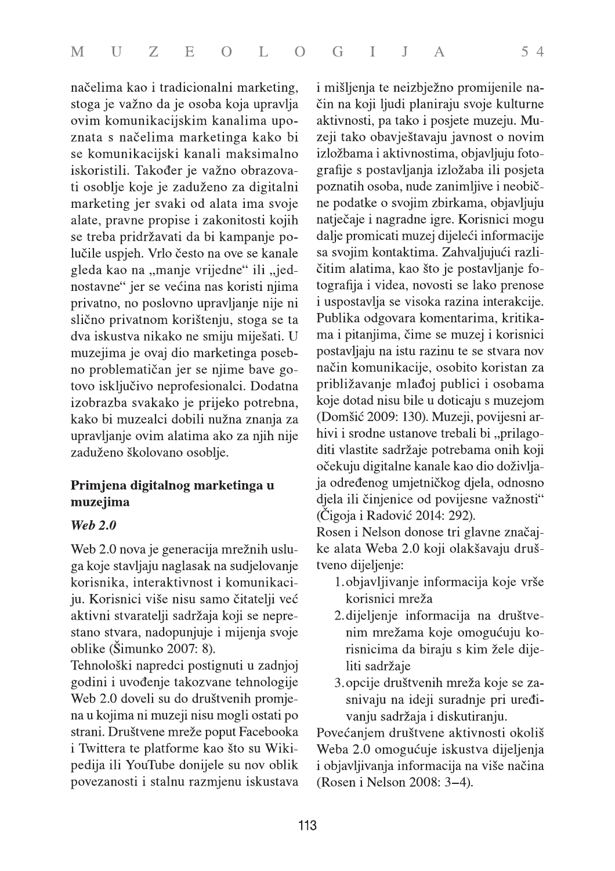načelima kao i tradicionalni marketing, stoga je važno da je osoba koja upravlja ovim komunikacijskim kanalima upoznata s načelima marketinga kako bi se komunikacijski kanali maksimalno iskoristili. Također je važno obrazovati osoblje koje je zaduženo za digitalni marketing jer svaki od alata ima svoje alate, pravne propise i zakonitosti kojih se treba pridržavati da bi kampanje polučile uspjeh. Vrlo često na ove se kanale gleda kao na "manje vrijedne" ili "jednostavne" jer se većina nas koristi njima privatno, no poslovno upravljanje nije ni slično privatnom korištenju, stoga se ta dva iskustva nikako ne smiju miješati. U muzejima je ovaj dio marketinga posebno problematičan jer se njime bave gotovo isključivo neprofesionalci. Dodatna izobrazba svakako je prijeko potrebna, kako bi muzealci dobili nužna znanja za upravljanje ovim alatima ako za njih nije zaduženo školovano osoblje.

#### Primjena digitalnog marketinga u muzejima

#### **Web 2.0**

Web 2.0 nova je generacija mrežnih usluga koje stavljaju naglasak na sudjelovanje korisnika, interaktivnost i komunikaciju. Korisnici više nisu samo čitatelji već aktivni stvaratelji sadržaja koji se neprestano stvara, nadopunjuje i mijenja svoje oblike (Šimunko 2007: 8).

Tehnološki napredci postignuti u zadnjoj godini i uvođenje takozvane tehnologije Web 2.0 doveli su do društvenih promjena u kojima ni muzeji nisu mogli ostati po strani. Društvene mreže poput Facebooka i Twittera te platforme kao što su Wikipedija ili YouTube donijele su nov oblik povezanosti i stalnu razmjenu iskustava i mišljenja te neizbježno promijenile način na koji ljudi planiraju svoje kulturne aktivnosti, pa tako i posjete muzeju. Muzeji tako obavještavaju javnost o novim izložbama i aktivnostima, objavljuju fotografije s postavljanja izložaba ili posjeta poznatih osoba, nude zanimljive i neobične podatke o svojim zbirkama, objavljuju natječaje i nagradne igre. Korisnici mogu dalje promicati muzej dijeleći informacije sa svojim kontaktima. Zahvaljujući različitim alatima, kao što je postavljanje fotografija i videa, novosti se lako prenose i uspostavlja se visoka razina interakcije. Publika odgovara komentarima, kritikama i pitanjima, čime se muzej i korisnici postavljaju na istu razinu te se stvara nov način komunikacije, osobito koristan za približavanje mlađoj publici i osobama koje dotad nisu bile u doticaju s muzejom (Domšić 2009: 130). Muzeji, povijesni arhivi i srodne ustanove trebali bi "prilagoditi vlastite sadržaje potrebama onih koji očekuju digitalne kanale kao dio doživljaja određenog umjetničkog djela, odnosno djela ili činjenice od povijesne važnosti" (Čigoja i Radović 2014: 292).

Rosen i Nelson donose tri glavne značajke alata Weba 2.0 koji olakšavaju društveno dijeljenje:

- 1. objavljivanje informacija koje vrše korisnici mreža
- 2. dijeljenje informacija na društvenim mrežama koje omogućuju korisnicima da biraju s kim žele dijeliti sadržaje
- 3. opcije društvenih mreža koje se zasnivaju na ideji suradnje pri uređivanju sadržaja i diskutiranju.

Povećanjem društvene aktivnosti okoliš Weba 2.0 omogućuje iskustva dijeljenja i objavljivanja informacija na više načina (Rosen i Nelson 2008: 3-4).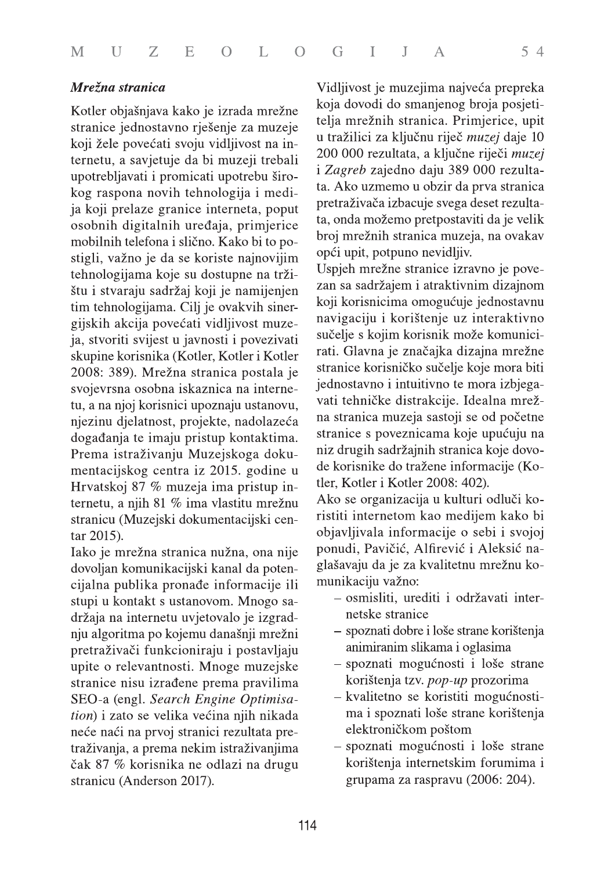#### Mrežna stranica

Kotler objašnjava kako je izrada mrežne stranice jednostavno rješenje za muzeje koji žele povećati svoju vidljivost na internetu, a savjetuje da bi muzeji trebali upotrebljavati i promicati upotrebu širokog raspona novih tehnologija i medija koji prelaze granice interneta, poput osobnih digitalnih uređaja, primjerice mobilnih telefona i slično. Kako bi to postigli, važno je da se koriste najnovijim tehnologijama koje su dostupne na tržištu i stvaraju sadržaj koji je namijenjen tim tehnologijama. Cilj je ovakvih sinergijskih akcija povećati vidljivost muzeja, stvoriti svijest u javnosti i povezivati skupine korisnika (Kotler, Kotler i Kotler 2008: 389). Mrežna stranica postala je svojevrsna osobna iskaznica na internetu, a na njoj korisnici upoznaju ustanovu, njezinu djelatnost, projekte, nadolazeća događanja te imaju pristup kontaktima. Prema istraživanju Muzejskoga dokumentacijskog centra iz 2015. godine u Hrvatskoj 87 % muzeja ima pristup internetu, a njih 81 % ima vlastitu mrežnu stranicu (Muzejski dokumentacijski centar 2015).

Iako je mrežna stranica nužna, ona nije dovoljan komunikacijski kanal da potencijalna publika pronađe informacije ili stupi u kontakt s ustanovom. Mnogo sadržaja na internetu uvjetovalo je izgradnju algoritma po kojemu današnji mrežni pretraživači funkcioniraju i postavljaju upite o relevantnosti. Mnoge muzejske stranice nisu izrađene prema pravilima SEO-a (engl. Search Engine Optimisation) i zato se velika većina njih nikada neće naći na prvoj stranici rezultata pretraživanja, a prema nekim istraživanjima čak 87 % korisnika ne odlazi na drugu stranicu (Anderson 2017).

Vidljivost je muzejima najveća prepreka koja dovodi do smanjenog broja posjetitelja mrežnih stranica. Primjerice, upit u tražilici za ključnu riječ muzej daje 10 200 000 rezultata, a ključne riječi muzej i Zagreb zajedno daju 389 000 rezultata. Ako uzmemo u obzir da prva stranica pretraživača izbacuje svega deset rezultata, onda možemo pretpostaviti da je velik broj mrežnih stranica muzeja, na ovakav opći upit, potpuno nevidljiv.

Uspjeh mrežne stranice izravno je povezan sa sadržajem i atraktivnim dizajnom koji korisnicima omogućuje jednostavnu navigaciju i korištenje uz interaktivno sučelje s kojim korisnik može komunicirati. Glavna je značajka dizajna mrežne stranice korisničko sučelje koje mora biti jednostavno i intuitivno te mora izbjegavati tehničke distrakcije. Idealna mrežna stranica muzeja sastoji se od početne stranice s poveznicama koje upućuju na niz drugih sadržajnih stranica koje dovode korisnike do tražene informacije (Kotler, Kotler i Kotler 2008: 402).

Ako se organizacija u kulturi odluči koristiti internetom kao medijem kako bi objavljivala informacije o sebi i svojoj ponudi, Pavičić, Alfirević i Aleksić naglašavaju da je za kvalitetnu mrežnu komunikaciju važno:

- osmisliti, urediti i održavati internetske stranice
- spoznati dobre i loše strane korištenja animiranim slikama i oglasima
- spoznati mogućnosti i loše strane korištenja tzv. pop-up prozorima
- kvalitetno se koristiti mogućnostima i spoznati loše strane korištenja elektroničkom poštom
- spoznati mogućnosti i loše strane korištenja internetskim forumima i grupama za raspravu (2006: 204).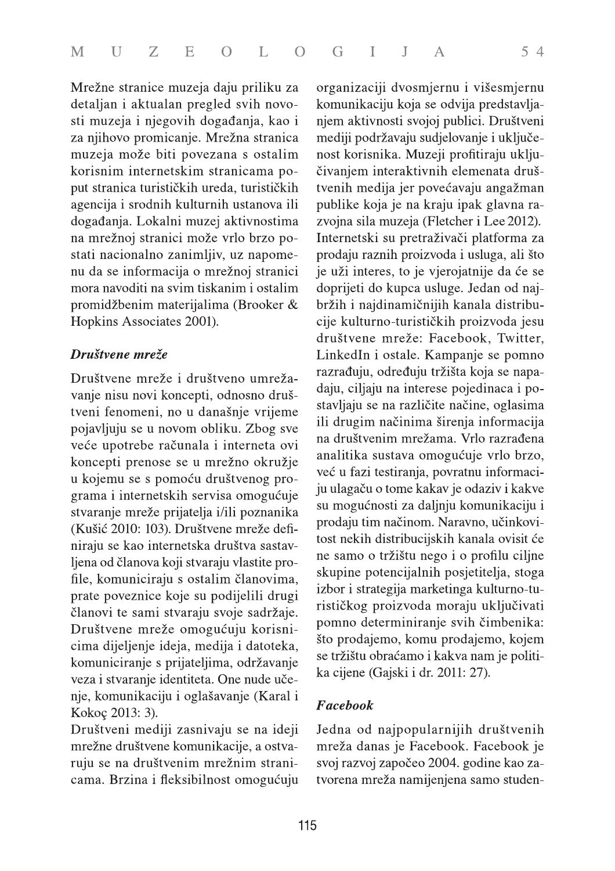Mrežne stranice muzeja daju priliku za detaljan i aktualan pregled svih novosti muzeja i njegovih događanja, kao i za njihovo promicanje. Mrežna stranica muzeja može biti povezana s ostalim korisnim internetskim stranicama poput stranica turističkih ureda, turističkih agencija i srodnih kulturnih ustanova ili događanja. Lokalni muzej aktivnostima na mrežnoj stranici može vrlo brzo postati nacionalno zanimljiv, uz napomenu da se informacija o mrežnoj stranici mora navoditi na svim tiskanim i ostalim promidžbenim materijalima (Brooker & Hopkins Associates 2001).

#### Društvene mreže

Društvene mreže i društveno umrežavanje nisu novi koncepti, odnosno društveni fenomeni, no u današnje vrijeme pojavljuju se u novom obliku. Zbog sve veće upotrebe računala i interneta ovi koncepti prenose se u mrežno okružje u kojemu se s pomoću društvenog programa i internetskih servisa omogućuje stvaranje mreže prijatelja i/ili poznanika (Kušić 2010: 103). Društvene mreže definiraju se kao internetska društva sastavljena od članova koji stvaraju vlastite profile, komuniciraju s ostalim članovima, prate poveznice koje su podijelili drugi članovi te sami stvaraju svoje sadržaje. Društvene mreže omogućuju korisnicima dijeljenje ideja, medija i datoteka, komuniciranje s prijateljima, održavanje veza i stvaranje identiteta. One nude učenje, komunikaciju i oglašavanje (Karal i Kokoç 2013: 3).

Društveni mediji zasnivaju se na ideji mrežne društvene komunikacije, a ostvaruju se na društvenim mrežnim stranicama. Brzina i fleksibilnost omogućuju organizaciji dvosmjernu i višesmjernu komunikaciju koja se odvija predstavljanjem aktivnosti svojoj publici. Društveni mediji podržavaju sudjelovanje i uključenost korisnika. Muzeji profitiraju uključivanjem interaktivnih elemenata društvenih medija jer povećavaju angažman publike koja je na kraju ipak glavna razvojna sila muzeja (Fletcher i Lee 2012). Internetski su pretraživači platforma za prodaju raznih proizvoda i usluga, ali što je uži interes, to je vjerojatnije da će se doprijeti do kupca usluge. Jedan od najbržih i najdinamičnijih kanala distribucije kulturno-turističkih proizvoda jesu društvene mreže: Facebook, Twitter, LinkedIn i ostale. Kampanje se pomno razrađuju, određuju tržišta koja se napadaju, ciljaju na interese pojedinaca i postavljaju se na različite načine, oglasima ili drugim načinima širenja informacija na društvenim mrežama. Vrlo razrađena analitika sustava omogućuje vrlo brzo, već u fazi testiranja, povratnu informaciju ulagaču o tome kakav je odaziv i kakve su mogućnosti za daljnju komunikaciju i prodaju tim načinom. Naravno, učinkovitost nekih distribucijskih kanala ovisit će ne samo o tržištu nego i o profilu ciljne skupine potencijalnih posjetitelja, stoga izbor i strategija marketinga kulturno-turističkog proizvoda moraju uključivati pomno determiniranje svih čimbenika: što prodajemo, komu prodajemo, kojem se tržištu obraćamo i kakva nam je politika cijene (Gajski i dr. 2011: 27).

## Facebook

Jedna od najpopularnijih društvenih mreža danas je Facebook. Facebook je svoj razvoj započeo 2004. godine kao zatvorena mreža namijenjena samo studen-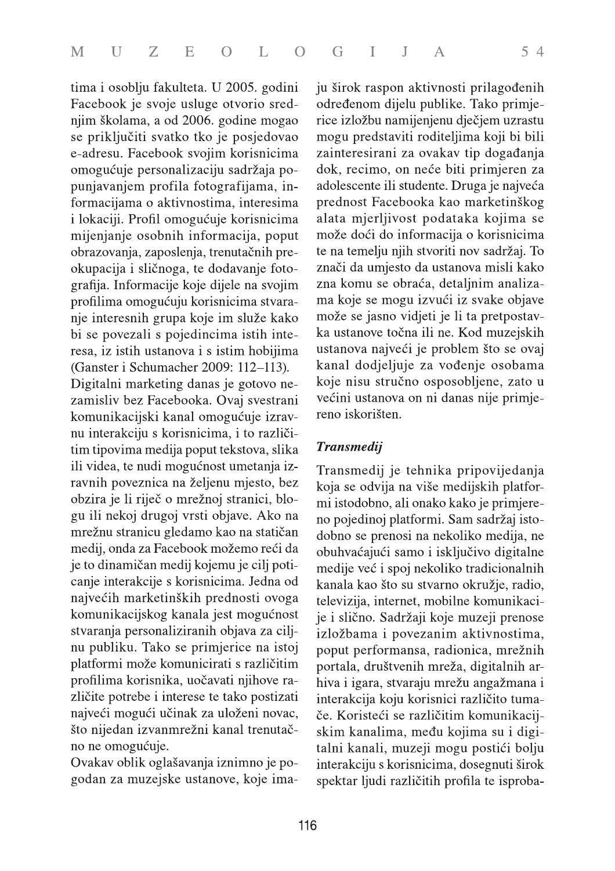tima i osoblju fakulteta. U 2005. godini Facebook je svoje usluge otvorio srednjim školama, a od 2006. godine mogao se priključiti svatko tko je posjedovao e-adresu. Facebook svojim korisnicima omogućuje personalizaciju sadržaja popunjavanjem profila fotografijama, informacijama o aktivnostima, interesima i lokaciji. Profil omogućuje korisnicima mijenjanje osobnih informacija, poput obrazovanja, zaposlenja, trenutačnih preokupacija i sličnoga, te dodavanje fotografija. Informacije koje dijele na svojim profilima omogućuju korisnicima stvaranje interesnih grupa koje im služe kako bi se povezali s pojedincima istih interesa, iz istih ustanova i s istim hobijima (Ganster i Schumacher 2009: 112-113). Digitalni marketing danas je gotovo nezamisliv bez Facebooka. Ovaj svestrani komunikacijski kanal omogućuje izravnu interakciju s korisnicima, i to različitim tipovima medija poput tekstova, slika ili videa, te nudi mogućnost umetanja izravnih poveznica na željenu mjesto, bez obzira je li riječ o mrežnoj stranici, blogu ili nekoj drugoj vrsti objave. Ako na mrežnu stranicu gledamo kao na statičan medij, onda za Facebook možemo reći da je to dinamičan medij kojemu je cilj poticanje interakcije s korisnicima. Jedna od najvećih marketinških prednosti ovoga komunikacijskog kanala jest mogućnost stvaranja personaliziranih objava za ciljnu publiku. Tako se primjerice na istoj platformi može komunicirati s različitim profilima korisnika, uočavati njihove različite potrebe i interese te tako postizati najveći mogući učinak za uloženi novac, što nijedan izvanmrežni kanal trenutačno ne omogućuje.

Ovakav oblik oglašavanja iznimno je pogodan za muzejske ustanove, koje imaju širok raspon aktivnosti prilagođenih određenom dijelu publike. Tako primjerice izložbu namijenjenu dječjem uzrastu mogu predstaviti roditeljima koji bi bili zainteresirani za ovakav tip događanja dok, recimo, on neće biti primjeren za adolescente ili studente. Druga je najveća prednost Facebooka kao marketinškog alata mjerljivost podataka kojima se može doći do informacija o korisnicima te na temelju njih stvoriti nov sadržaj. To znači da umjesto da ustanova misli kako zna komu se obraća, detaljnim analizama koje se mogu izvući iz svake objave može se jasno vidjeti je li ta pretpostavka ustanove točna ili ne. Kod muzejskih ustanova najveći je problem što se ovaj kanal dodjeljuje za vođenje osobama koje nisu stručno osposobljene, zato u većini ustanova on ni danas nije primjereno iskorišten.

## **Transmedij**

Transmedij je tehnika pripovijedanja koja se odvija na više medijskih platformi istodobno, ali onako kako je primjereno pojedinoj platformi. Sam sadržaj istodobno se prenosi na nekoliko medija, ne obuhvaćajući samo i isključivo digitalne medije već i spoj nekoliko tradicionalnih kanala kao što su stvarno okružje, radio, televizija, internet, mobilne komunikacije i slično. Sadržaji koje muzeji prenose izložbama i povezanim aktivnostima, poput performansa, radionica, mrežnih portala, društvenih mreža, digitalnih arhiva i igara, stvaraju mrežu angažmana i interakcija koju korisnici različito tumače. Koristeći se različitim komunikacijskim kanalima, među kojima su i digitalni kanali, muzeji mogu postići bolju interakciju s korisnicima, dosegnuti širok spektar ljudi različitih profila te isproba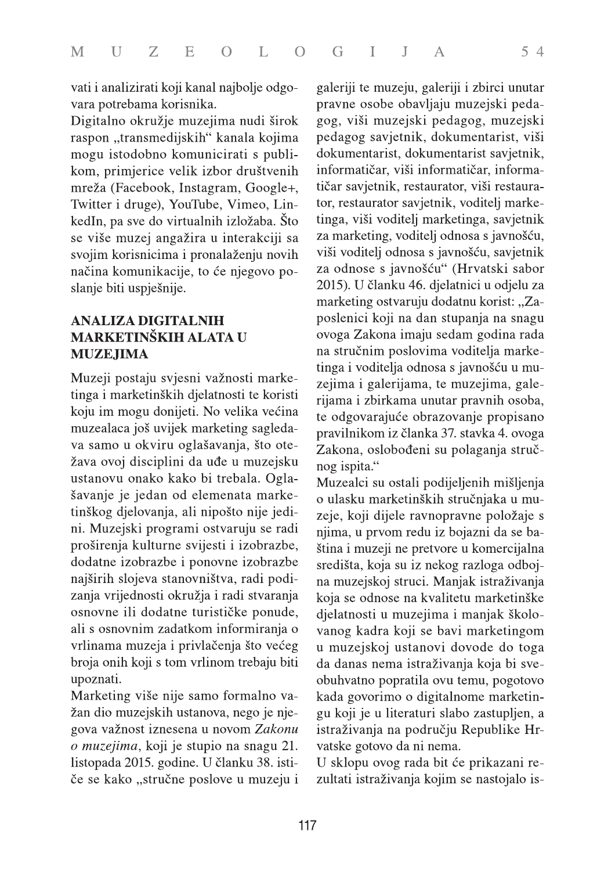vati i analizirati koji kanal najbolje odgovara potrebama korisnika.

Digitalno okružje muzejima nudi širok raspon "transmedijskih" kanala kojima mogu istodobno komunicirati s publikom, primjerice velik izbor društvenih mreža (Facebook, Instagram, Google+, Twitter i druge), YouTube, Vimeo, LinkedIn, pa sve do virtualnih izložaba. Što se više muzej angažira u interakciji sa svojim korisnicima i pronalaženju novih načina komunikacije, to će njegovo poslanje biti uspješnije.

## **ANALIZA DIGITALNIH MARKETINŠKIH ALATA U MUZEJIMA**

Muzeji postaju svjesni važnosti marketinga i marketinških djelatnosti te koristi koju im mogu donijeti. No velika većina muzealaca još uvijek marketing sagledava samo u okviru oglašavanja, što otežava ovoj disciplini da uđe u muzejsku ustanovu onako kako bi trebala. Oglašavanje je jedan od elemenata marketinškog djelovanja, ali nipošto nije jedini. Muzejski programi ostvaruju se radi proširenja kulturne svijesti i izobrazbe, dodatne izobrazbe i ponovne izobrazbe najširih slojeva stanovništva, radi podizanja vrijednosti okružja i radi stvaranja osnovne ili dodatne turističke ponude, ali s osnovnim zadatkom informiranja o vrlinama muzeja i privlačenja što većeg broja onih koji s tom vrlinom trebaju biti upoznati.

Marketing više nije samo formalno važan dio muzejskih ustanova, nego je njegova važnost iznesena u novom Zakonu o muzejima, koji je stupio na snagu 21. listopada 2015. godine. U članku 38. ističe se kako "stručne poslove u muzeju i galeriji te muzeju, galeriji i zbirci unutar pravne osobe obavljaju muzejski pedagog, viši muzejski pedagog, muzejski pedagog savjetnik, dokumentarist, viši dokumentarist, dokumentarist savjetnik, informatičar, viši informatičar, informatičar savjetnik, restaurator, viši restaurator, restaurator savjetnik, voditelj marketinga, viši voditelj marketinga, savjetnik za marketing, voditelj odnosa s javnošću, viši voditelj odnosa s javnošću, savjetnik za odnose s javnošću" (Hrvatski sabor 2015). U članku 46. djelatnici u odjelu za marketing ostvaruju dodatnu korist: "Zaposlenici koji na dan stupanja na snagu ovoga Zakona imaju sedam godina rada na stručnim poslovima voditelja marketinga i voditelja odnosa s javnošću u muzejima i galerijama, te muzejima, galerijama i zbirkama unutar pravnih osoba, te odgovarajuće obrazovanje propisano pravilnikom iz članka 37. stavka 4. ovoga Zakona, oslobođeni su polaganja stručnog ispita."

Muzealci su ostali podijeljenih mišljenja o ulasku marketinških stručnjaka u muzeje, koji dijele ravnopravne položaje s njima, u prvom redu iz bojazni da se baština i muzeji ne pretvore u komercijalna središta, koja su iz nekog razloga odbojna muzejskoj struci. Manjak istraživanja koja se odnose na kvalitetu marketinške djelatnosti u muzejima i manjak školovanog kadra koji se bavi marketingom u muzejskoj ustanovi dovode do toga da danas nema istraživanja koja bi sveobuhvatno popratila ovu temu, pogotovo kada govorimo o digitalnome marketingu koji je u literaturi slabo zastupljen, a istraživanja na području Republike Hrvatske gotovo da ni nema.

U sklopu ovog rada bit će prikazani rezultati istraživanja kojim se nastojalo is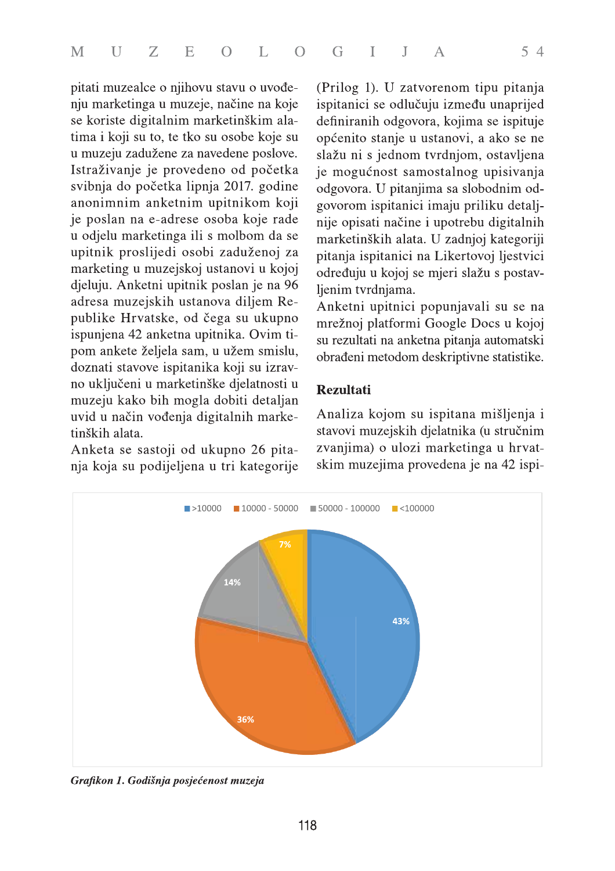pitati muzealce o njihovu stavu o uvođenju marketinga u muzeje, načine na koje se koriste digitalnim marketinškim alatima i koji su to, te tko su osobe koje su u muzeju zadužene za navedene poslove. Istraživanje je provedeno od početka svibnja do početka lipnja 2017. godine anonimnim anketnim upitnikom koji je poslan na e-adrese osoba koje rade u odjelu marketinga ili s molbom da se upitnik proslijedi osobi zaduženoj za marketing u muzejskoj ustanovi u kojoj djeluju. Anketni upitnik poslan je na 96 adresa muzejskih ustanova diljem Republike Hrvatske, od čega su ukupno ispunjena 42 anketna upitnika. Ovim tipom ankete željela sam, u užem smislu, doznati stavove ispitanika koji su izravno uključeni u marketinške djelatnosti u muzeju kako bih mogla dobiti detaljan uvid u način vođenja digitalnih marketinških alata.

Anketa se sastoji od ukupno 26 pitanja koja su podijeljena u tri kategorije (Prilog 1). U zatvorenom tipu pitanja ispitanici se odlučuju između unaprijed definiranih odgovora, kojima se ispituje općenito stanje u ustanovi, a ako se ne slažu ni s jednom tvrdnjom, ostavljena je mogućnost samostalnog upisivanja odgovora. U pitanjima sa slobodnim odgovorom ispitanici imaju priliku detaljnije opisati načine i upotrebu digitalnih marketinških alata. U zadnjoj kategoriji pitanja ispitanici na Likertovoj ljestvici određuju u kojoj se mjeri slažu s postavljenim tvrdnjama.

Anketni upitnici popunjavali su se na mrežnoj platformi Google Docs u kojoj su rezultati na anketna pitanja automatski obrađeni metodom deskriptivne statistike.

## **Rezultati**

Analiza kojom su ispitana mišljenja i stavovi muzejskih djelatnika (u stručnim zvanjima) o ulozi marketinga u hrvatskim muzejima provedena je na 42 ispi-



Grafikon 1. Godišnja posjećenost muzeja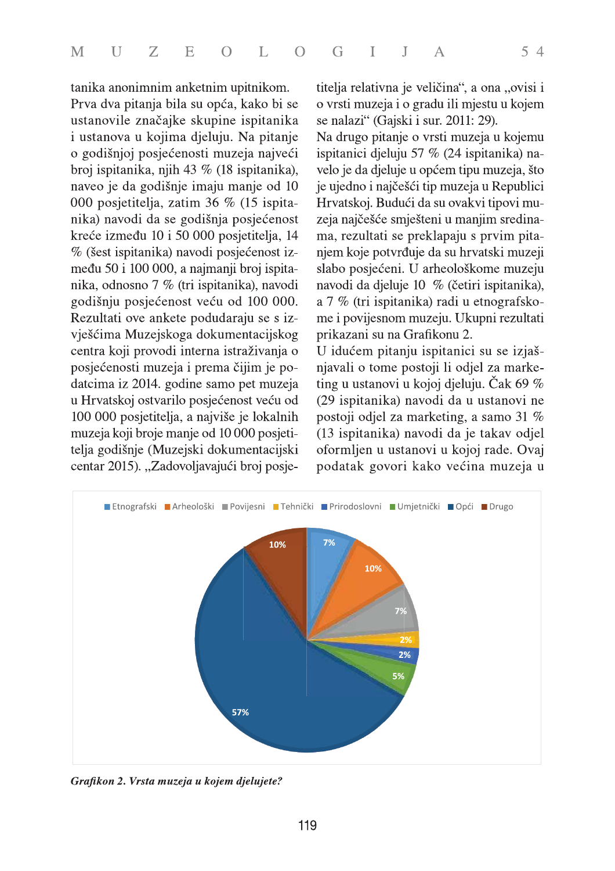tanika anonimnim anketnim upitnikom.

Prva dva pitanja bila su opća, kako bi se ustanovile značajke skupine ispitanika i ustanova u kojima djeluju. Na pitanje o godišnjoj posjećenosti muzeja najveći broj ispitanika, njih 43 % (18 ispitanika), naveo je da godišnje imaju manje od 10 000 posjetitelja, zatim 36 % (15 ispitanika) navodi da se godišnja posjećenost kreće između 10 i 50 000 posjetitelja, 14 % (šest ispitanika) navodi posjećenost između 50 i 100 000, a najmanji broj ispitanika, odnosno 7 % (tri ispitanika), navodi godišnju posjećenost veću od 100 000. Rezultati ove ankete podudaraju se s izvješćima Muzejskoga dokumentacijskog centra koji provodi interna istraživanja o posjećenosti muzeja i prema čijim je podatcima iz 2014. godine samo pet muzeja u Hrvatskoj ostvarilo posjećenost veću od 100 000 posjetitelja, a najviše je lokalnih muzeja koji broje manje od 10 000 posjetitelja godišnje (Muzejski dokumentacijski centar 2015). "Zadovoljavajući broj posjetitelja relativna je veličina", a ona "ovisi i o vrsti muzeja i o gradu ili mjestu u kojem se nalazi" (Gajski i sur. 2011: 29).

Na drugo pitanje o vrsti muzeja u kojemu ispitanici djeluju 57 % (24 ispitanika) navelo je da djeluje u općem tipu muzeja, što je ujedno i najčešći tip muzeja u Republici Hrvatskoj. Budući da su ovakvi tipovi muzeja najčešće smješteni u manjim sredinama, rezultati se preklapaju s prvim pitanjem koje potvrđuje da su hrvatski muzeji slabo posjećeni. U arheološkome muzeju navodi da djeluje 10 % (četiri ispitanika), a 7 % (tri ispitanika) radi u etnografskome i povijesnom muzeju. Ukupni rezultati prikazani su na Grafikonu 2.

U idućem pitanju ispitanici su se izjašnjavali o tome postoji li odjel za marketing u ustanovi u kojoj djeluju. Čak 69 % (29 ispitanika) navodi da u ustanovi ne postoji odjel za marketing, a samo 31 % (13 ispitanika) navodi da je takav odjel oformljen u ustanovi u kojoj rade. Ovaj podatak govori kako većina muzeja u



Grafikon 2. Vrsta muzeja u kojem djelujete?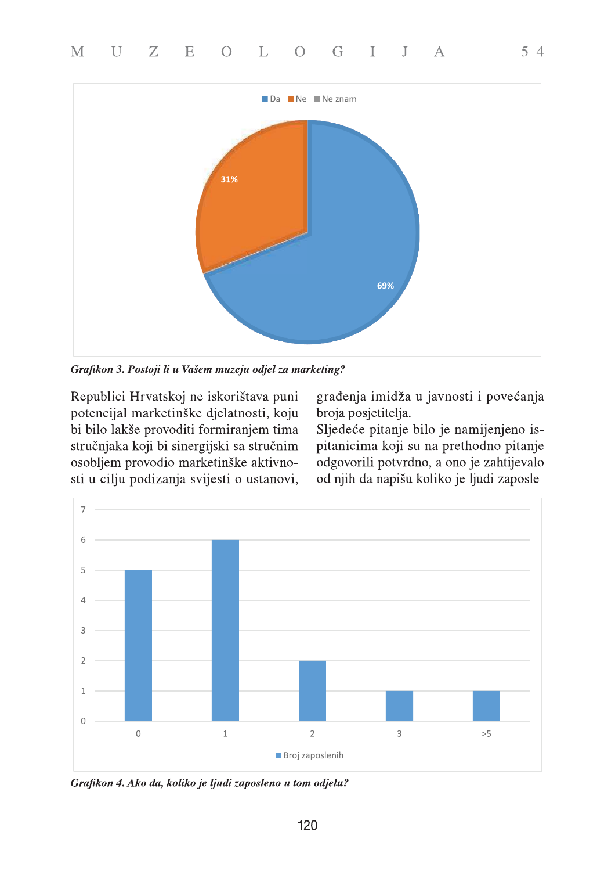

Grafikon 3. Postoji li u Vašem muzeju odjel za marketing?

Republici Hrvatskoj ne iskorištava puni potencijal marketinške djelatnosti, koju bi bilo lakše provoditi formiranjem tima stručnjaka koji bi sinergijski sa stručnim osobljem provodio marketinške aktivnosti u cilju podizanja svijesti o ustanovi, građenja imidža u javnosti i povećanja broja posjetitelja.

 $54$ 

Sljedeće pitanje bilo je namijenjeno ispitanicima koji su na prethodno pitanje odgovorili potvrdno, a ono je zahtijevalo od njih da napišu koliko je ljudi zaposle-



Grafikon 4. Ako da, koliko je ljudi zaposleno u tom odjelu?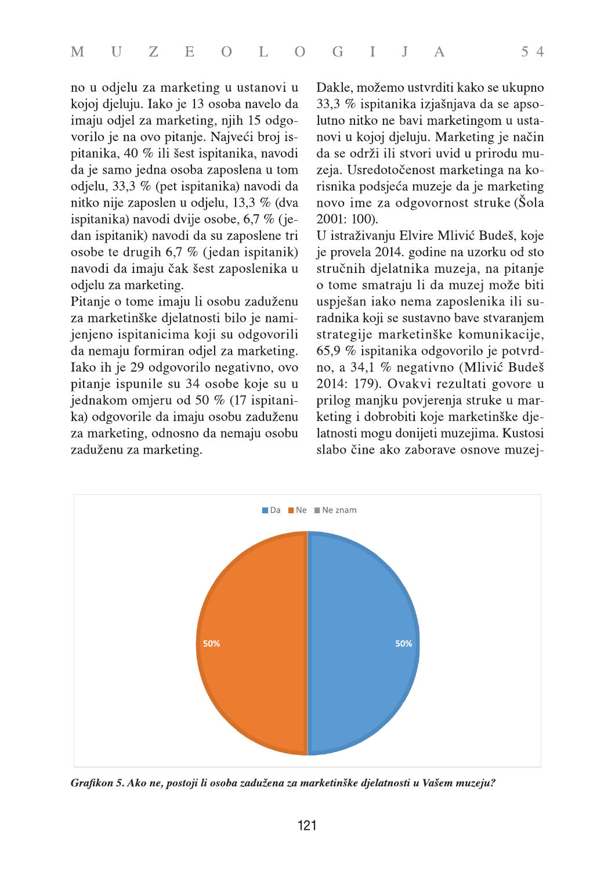no u odjelu za marketing u ustanovi u kojoj djeluju. Iako je 13 osoba navelo da imaju odjel za marketing, njih 15 odgovorilo je na ovo pitanje. Najveći broj ispitanika, 40 % ili šest ispitanika, navodi da je samo jedna osoba zaposlena u tom odjelu, 33,3 % (pet ispitanika) navodi da nitko nije zaposlen u odjelu, 13,3 % (dva ispitanika) navodi dvije osobe, 6,7 % (jedan ispitanik) navodi da su zaposlene tri osobe te drugih 6,7 % (jedan ispitanik) navodi da imaju čak šest zaposlenika u odjelu za marketing.

Pitanje o tome imaju li osobu zaduženu za marketinške djelatnosti bilo je namijenjeno ispitanicima koji su odgovorili da nemaju formiran odjel za marketing. Iako ih je 29 odgovorilo negativno, ovo pitanje ispunile su 34 osobe koje su u jednakom omjeru od 50 % (17 ispitanika) odgovorile da imaju osobu zaduženu za marketing, odnosno da nemaju osobu zaduženu za marketing.

Dakle, možemo ustvrditi kako se ukupno 33,3 % ispitanika izjašnjava da se apsolutno nitko ne bavi marketingom u ustanovi u kojoj djeluju. Marketing je način da se održi ili stvori uvid u prirodu muzeja. Usredotočenost marketinga na korisnika podsjeća muzeje da je marketing novo ime za odgovornost struke (Šola 2001: 100).

U istraživanju Elvire Mlivić Budeš, koje je provela 2014. godine na uzorku od sto stručnih djelatnika muzeja, na pitanje o tome smatraju li da muzej može biti uspješan iako nema zaposlenika ili suradnika koji se sustavno bave stvaranjem strategije marketinške komunikacije, 65,9 % ispitanika odgovorilo je potvrdno, a 34,1 % negativno (Mlivić Budeš 2014: 179). Ovakvi rezultati govore u prilog manjku povjerenja struke u marketing i dobrobiti koje marketinške djelatnosti mogu donijeti muzejima. Kustosi slabo čine ako zaborave osnove muzej-



Grafikon 5. Ako ne, postoji li osoba zadužena za marketinške djelatnosti u Vašem muzeju?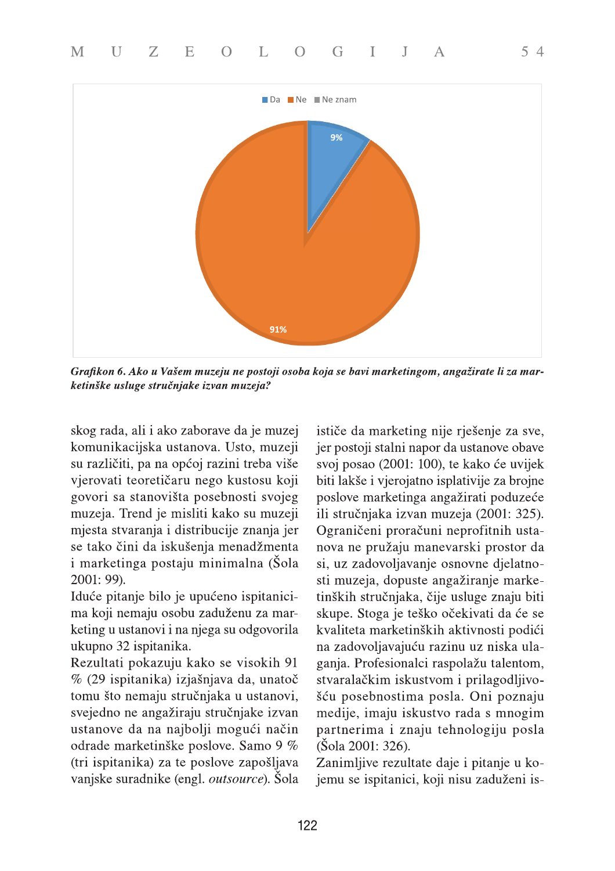

Grafikon 6. Ako u Vašem muzeju ne postoji osoba koja se bavi marketingom, angažirate li za marketinške usluge stručnjake izvan muzeja?

skog rada, ali i ako zaborave da je muzej komunikacijska ustanova. Usto, muzeji su različiti, pa na općoj razini treba više vjerovati teoretičaru nego kustosu koji govori sa stanovišta posebnosti svojeg muzeja. Trend je misliti kako su muzeji mjesta stvaranja i distribucije znanja jer se tako čini da iskušenja menadžmenta i marketinga postaju minimalna (Šola 2001: 99).

Iduće pitanje bilo je upućeno ispitanicima koji nemaju osobu zaduženu za marketing u ustanovi i na njega su odgovorila ukupno 32 ispitanika.

Rezultati pokazuju kako se visokih 91 % (29 ispitanika) izjašnjava da, unatoč tomu što nemaju stručnjaka u ustanovi, svejedno ne angažiraju stručnjake izvan ustanove da na najbolji mogući način odrade marketinške poslove. Samo 9 % (tri ispitanika) za te poslove zapošljava vanjske suradnike (engl. *outsource*). Šola

ističe da marketing nije rješenje za sve, jer postoji stalni napor da ustanove obave svoj posao (2001: 100), te kako će uvijek biti lakše i vjerojatno isplativije za brojne poslove marketinga angažirati poduzeće ili stručnjaka izvan muzeja (2001: 325). Ograničeni proračuni neprofitnih ustanova ne pružaju manevarski prostor da si, uz zadovoljavanje osnovne djelatnosti muzeja, dopuste angažiranje marketinških stručnjaka, čije usluge znaju biti skupe. Stoga je teško očekivati da će se kvaliteta marketinških aktivnosti podići na zadovoljavajuću razinu uz niska ulaganja. Profesionalci raspolažu talentom, stvaralačkim iskustvom i prilagodljivošću posebnostima posla. Oni poznaju medije, imaju iskustvo rada s mnogim partnerima i znaju tehnologiju posla (Šola 2001: 326).

 $54$ 

Zanimljive rezultate daje i pitanje u kojemu se ispitanici, koji nisu zaduženi is-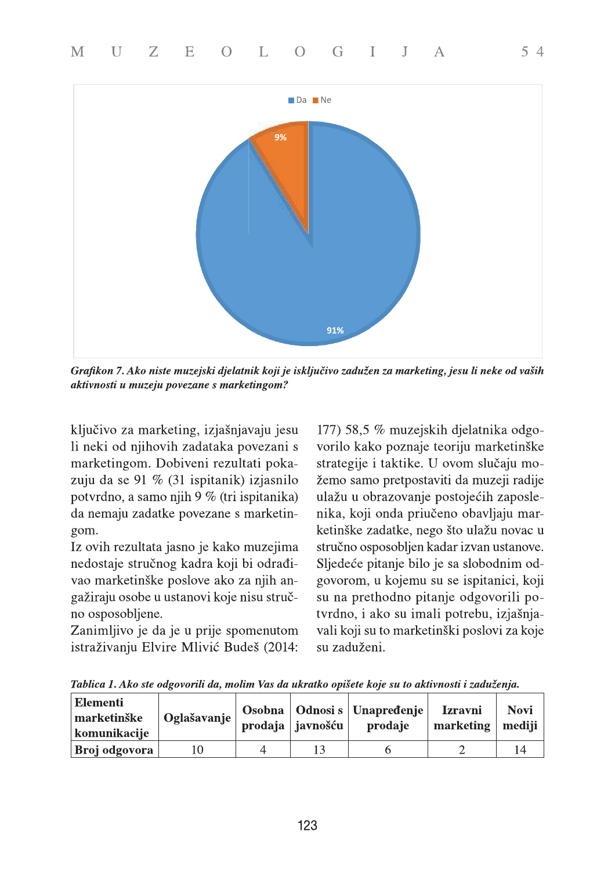

Grafikon 7. Ako niste muzejski djelatnik koji je isključivo zadužen za marketing, jesu li neke od vaših aktivnosti u muzeju povezane s marketingom?

ključivo za marketing, izjašnjavaju jesu li neki od njihovih zadataka povezani s marketingom. Dobiveni rezultati pokazuju da se 91 % (31 ispitanik) izjasnilo potvrdno, a samo njih 9 % (tri ispitanika) da nemaju zadatke povezane s marketingom.

Iz ovih rezultata jasno je kako muzejima nedostaje stručnog kadra koji bi odrađivao marketinške poslove ako za njih angažiraju osobe u ustanovi koje nisu stručno osposobljene.

Zanimljivo je da je u prije spomenutom istraživanju Elvire Mlivić Budeš (2014:

177) 58,5 % muzejskih djelatnika odgovorilo kako poznaje teoriju marketinške strategije i taktike. U ovom slučaju možemo samo pretpostaviti da muzeji radije ulažu u obrazovanje postojećih zaposlenika, koji onda priučeno obavljaju marketinške zadatke, nego što ulažu novac u stručno osposobljen kadar izvan ustanove. Sljedeće pitanje bilo je sa slobodnim odgovorom, u kojemu su se ispitanici, koji su na prethodno pitanje odgovorili potvrdno, i ako su imali potrebu, izjašnjavali koji su to marketinški poslovi za koje su zaduženi.

**Elementi** Osobna **Odnosi** s Unapredenje **Izravni Novi** marketinške Oglašavanje prodaja javnošću prodaje marketing mediji komunikacije 10  $\overline{4}$ 13  $\overline{2}$ 14 Broj odgovora 6

Tablica 1. Ako ste odgovorili da, molim Vas da ukratko opišete koje su to aktivnosti i zaduženja.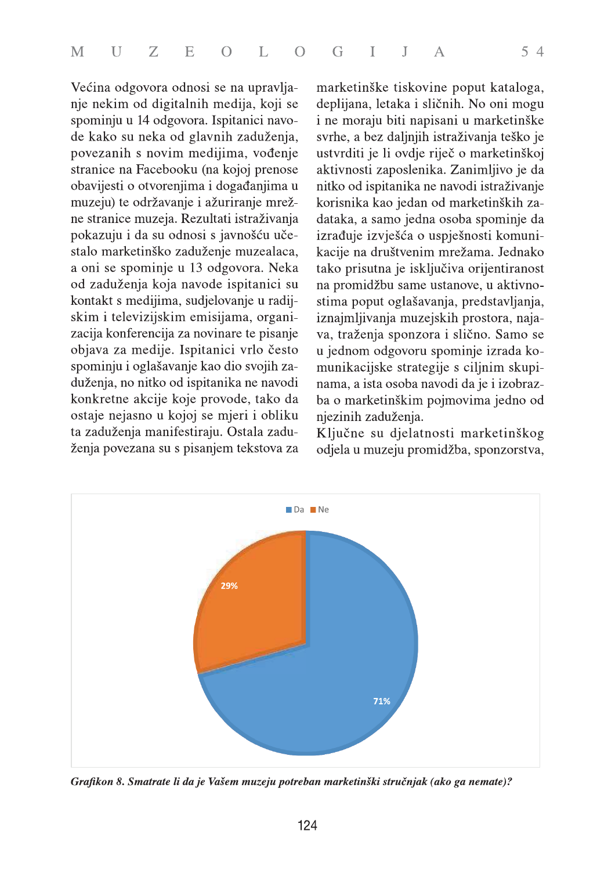Većina odgovora odnosi se na upravljanje nekim od digitalnih medija, koji se spominju u 14 odgovora. Ispitanici navode kako su neka od glavnih zaduženja, povezanih s novim medijima, vođenje stranice na Facebooku (na kojoj prenose obavijesti o otvorenjima i događanjima u muzeju) te održavanje i ažuriranje mrežne stranice muzeja. Rezultati istraživanja pokazuju i da su odnosi s javnošću učestalo marketinško zaduženje muzealaca, a oni se spominje u 13 odgovora. Neka od zaduženja koja navode ispitanici su kontakt s medijima, sudjelovanje u radijskim i televizijskim emisijama, organizacija konferencija za novinare te pisanje objava za medije. Ispitanici vrlo često spominju i oglašavanje kao dio svojih zaduženja, no nitko od ispitanika ne navodi konkretne akcije koje provode, tako da ostaje nejasno u kojoj se mjeri i obliku ta zaduženja manifestiraju. Ostala zaduženja povezana su s pisanjem tekstova za

marketinške tiskovine poput kataloga, deplijana, letaka i sličnih. No oni mogu i ne moraju biti napisani u marketinške svrhe, a bez daljnjih istraživanja teško je ustvrditi je li ovdje riječ o marketinškoj aktivnosti zaposlenika. Zanimljivo je da nitko od ispitanika ne navodi istraživanje korisnika kao jedan od marketinških zadataka, a samo jedna osoba spominje da izrađuje izvješća o uspješnosti komunikacije na društvenim mrežama. Jednako tako prisutna je isključiva orijentiranost na promidžbu same ustanove, u aktivnostima poput oglašavanja, predstavljanja, iznajmljivanja muzejskih prostora, najava, traženja sponzora i slično. Samo se u jednom odgovoru spominje izrada komunikacijske strategije s ciljnim skupinama, a ista osoba navodi da je i izobrazba o marketinškim pojmovima jedno od njezinih zaduženja.

Ključne su djelatnosti marketinškog odjela u muzeju promidžba, sponzorstva,



Grafikon 8. Smatrate li da je Vašem muzeju potreban marketinški stručnjak (ako ga nemate)?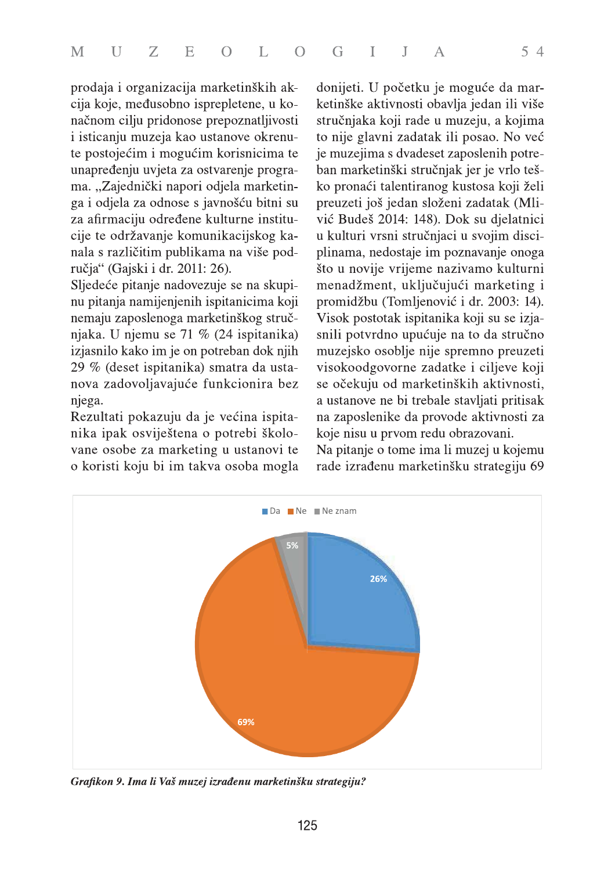prodaja i organizacija marketinških akcija koje, međusobno isprepletene, u konačnom cilju pridonose prepoznatljivosti i isticanju muzeja kao ustanove okrenute postojećim i mogućim korisnicima te unapređenju uvjeta za ostvarenje programa. "Zajednički napori odjela marketinga i odjela za odnose s javnošću bitni su za afirmaciju određene kulturne institucije te održavanje komunikacijskog kanala s različitim publikama na više područja" (Gajski i dr. 2011: 26).

Sljedeće pitanje nadovezuje se na skupinu pitanja namijenjenih ispitanicima koji nemaju zaposlenoga marketinškog stručnjaka. U njemu se 71 % (24 ispitanika) izjasnilo kako im je on potreban dok njih 29 % (deset ispitanika) smatra da ustanova zadovoljavajuće funkcionira bez njega.

Rezultati pokazuju da je većina ispitanika ipak osviještena o potrebi školovane osobe za marketing u ustanovi te o koristi koju bi im takva osoba mogla donijeti. U početku je moguće da marketinške aktivnosti obavlja jedan ili više stručnjaka koji rade u muzeju, a kojima to nije glavni zadatak ili posao. No već je muzejima s dvadeset zaposlenih potreban marketinški stručnjak jer je vrlo teško pronaći talentiranog kustosa koji želi preuzeti još jedan složeni zadatak (Mlivić Budeš 2014: 148). Dok su djelatnici u kulturi vrsni stručnjaci u svojim disciplinama, nedostaje im poznavanje onoga što u novije vrijeme nazivamo kulturni menadžment, uključujući marketing i promidžbu (Tomljenović i dr. 2003: 14). Visok postotak ispitanika koji su se izjasnili potvrdno upućuje na to da stručno muzejsko osoblje nije spremno preuzeti visokoodgovorne zadatke i ciljeve koji se očekuju od marketinških aktivnosti, a ustanove ne bi trebale stavljati pritisak na zaposlenike da provode aktivnosti za koje nisu u prvom redu obrazovani. Na pitanje o tome ima li muzej u kojemu rade izrađenu marketinšku strategiju 69



Grafikon 9. Ima li Vaš muzej izrađenu marketinšku strategiju?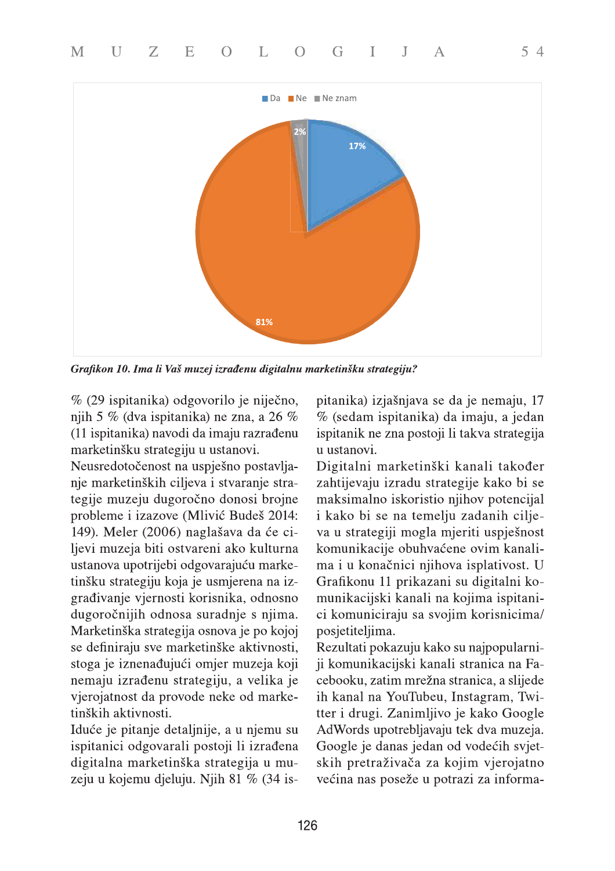

Grafikon 10. Ima li Vaš muzej izrađenu digitalnu marketinšku strategiju?

% (29 ispitanika) odgovorilo je niječno, njih 5 % (dva ispitanika) ne zna, a 26 % (11 ispitanika) navodi da imaju razrađenu marketinšku strategiju u ustanovi.

Neusredotočenost na uspješno postavljanje marketinških ciljeva i stvaranje strategije muzeju dugoročno donosi brojne probleme i izazove (Mlivić Budeš 2014: 149). Meler (2006) naglašava da će ciljevi muzeja biti ostvareni ako kulturna ustanova upotrijebi odgovarajuću marketinšku strategiju koja je usmjerena na izgrađivanje vjernosti korisnika, odnosno dugoročnijih odnosa suradnje s njima. Marketinška strategija osnova je po kojoj se definiraju sve marketinške aktivnosti, stoga je iznenađujući omjer muzeja koji nemaju izrađenu strategiju, a velika je vjerojatnost da provode neke od marketinških aktivnosti.

Iduće je pitanje detaljnije, a u njemu su ispitanici odgovarali postoji li izrađena digitalna marketinška strategija u muzeju u kojemu djeluju. Njih 81 % (34 ispitanika) izjašnjava se da je nemaju, 17 % (sedam ispitanika) da imaju, a jedan ispitanik ne zna postoji li takva strategija u ustanovi.

Digitalni marketinški kanali također zahtijevaju izradu strategije kako bi se maksimalno iskoristio njihov potencijal i kako bi se na temelju zadanih ciljeva u strategiji mogla mjeriti uspješnost komunikacije obuhvaćene ovim kanalima i u konačnici njihova isplativost. U Grafikonu 11 prikazani su digitalni komunikacijski kanali na kojima ispitanici komuniciraju sa svojim korisnicima/ posjetiteljima.

Rezultati pokazuju kako su najpopularniji komunikacijski kanali stranica na Facebooku, zatim mrežna stranica, a slijede ih kanal na YouTubeu, Instagram, Twitter i drugi. Zanimljivo je kako Google AdWords upotrebljavaju tek dva muzeja. Google je danas jedan od vodećih svjetskih pretraživača za kojim vjerojatno većina nas poseže u potrazi za informa-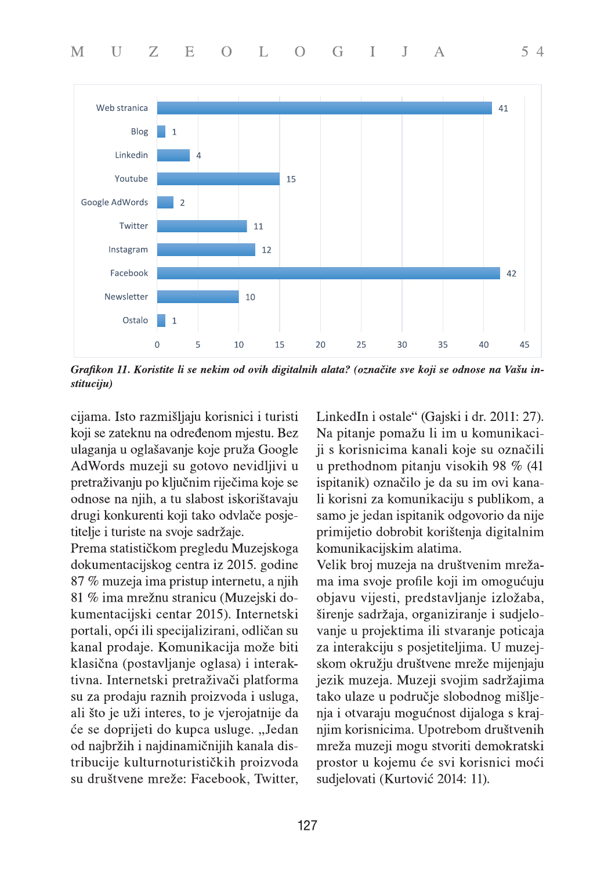

Grafikon 11. Koristite li se nekim od ovih digitalnih alata? (označite sve koji se odnose na Vašu instituciju)

cijama. Isto razmišljaju korisnici i turisti koji se zateknu na određenom mjestu. Bez ulaganja u oglašavanje koje pruža Google AdWords muzeji su gotovo nevidljivi u pretraživanju po ključnim riječima koje se odnose na njih, a tu slabost iskorištavaju drugi konkurenti koji tako odvlače posjetitelje i turiste na svoje sadržaje.

Prema statističkom pregledu Muzejskoga dokumentacijskog centra iz 2015. godine 87 % muzeja ima pristup internetu, a njih 81 % ima mrežnu stranicu (Muzejski dokumentacijski centar 2015). Internetski portali, opći ili specijalizirani, odličan su kanal prodaje. Komunikacija može biti klasična (postavljanje oglasa) i interaktivna. Internetski pretraživači platforma su za prodaju raznih proizvoda i usluga, ali što je uži interes, to je vjerojatnije da će se doprijeti do kupca usluge. "Jedan od najbržih i najdinamičnijih kanala distribucije kulturnoturističkih proizvoda su društvene mreže: Facebook, Twitter,

LinkedIn i ostale" (Gajski i dr. 2011: 27). Na pitanje pomažu li im u komunikaciji s korisnicima kanali koje su označili u prethodnom pitanju visokih 98 % (41 ispitanik) označilo je da su im ovi kanali korisni za komunikaciju s publikom, a samo je jedan ispitanik odgovorio da nije primijetio dobrobit korištenja digitalnim komunikacijskim alatima.

 $54$ 

Velik broj muzeja na društvenim mrežama ima svoje profile koji im omogućuju objavu vijesti, predstavljanje izložaba, širenje sadržaja, organiziranje i sudjelovanje u projektima ili stvaranje poticaja za interakciju s posjetiteljima. U muzejskom okružju društvene mreže mijenjaju jezik muzeja. Muzeji svojim sadržajima tako ulaze u područje slobodnog mišljenja i otvaraju mogućnost dijaloga s krajnjim korisnicima. Upotrebom društvenih mreža muzeji mogu stvoriti demokratski prostor u kojemu će svi korisnici moći sudjelovati (Kurtović 2014: 11).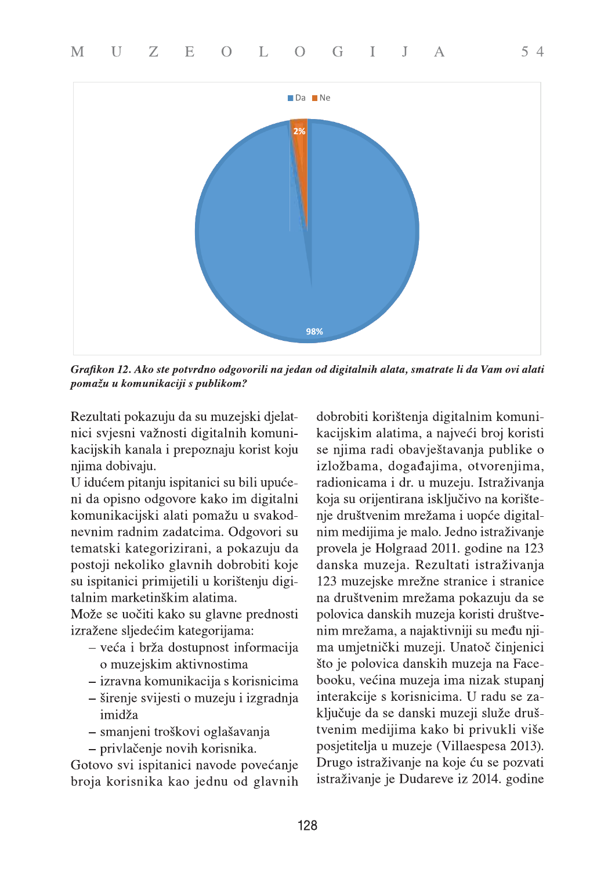

Grafikon 12. Ako ste potvrdno odgovorili na jedan od digitalnih alata, smatrate li da Vam ovi alati pomažu u komunikaciji s publikom?

Rezultati pokazuju da su muzejski djelatnici svjesni važnosti digitalnih komunikacijskih kanala i prepoznaju korist koju njima dobivaju.

U idućem pitanju ispitanici su bili upućeni da opisno odgovore kako im digitalni komunikacijski alati pomažu u svakodnevnim radnim zadatcima. Odgovori su tematski kategorizirani, a pokazuju da postoji nekoliko glavnih dobrobiti koje su ispitanici primijetili u korištenju digitalnim marketinškim alatima.

Može se uočiti kako su glavne prednosti izražene sljedećim kategorijama:

- veća i brža dostupnost informacija o muzejskim aktivnostima
- izravna komunikacija s korisnicima
- širenje svijesti o muzeju i izgradnja imidža
- smanjeni troškovi oglašavanja
- privlačenje novih korisnika.

Gotovo svi ispitanici navode povećanje broja korisnika kao jednu od glavnih

dobrobiti korištenja digitalnim komunikacijskim alatima, a najveći broj koristi se njima radi obavještavanja publike o izložbama, događajima, otvorenjima, radionicama i dr. u muzeju. Istraživanja koja su orijentirana isključivo na korištenje društvenim mrežama i uopće digitalnim medijima je malo. Jedno istraživanje provela je Holgraad 2011. godine na 123 danska muzeja. Rezultati istraživanja 123 muzejske mrežne stranice i stranice na društvenim mrežama pokazuju da se polovica danskih muzeja koristi društvenim mrežama, a najaktivniji su među njima umjetnički muzeji. Unatoč činjenici što je polovica danskih muzeja na Facebooku, većina muzeja ima nizak stupanj interakcije s korisnicima. U radu se zaključuje da se danski muzeji služe društvenim medijima kako bi privukli više posjetitelja u muzeje (Villaespesa 2013). Drugo istraživanje na koje ću se pozvati istraživanje je Dudareve iz 2014. godine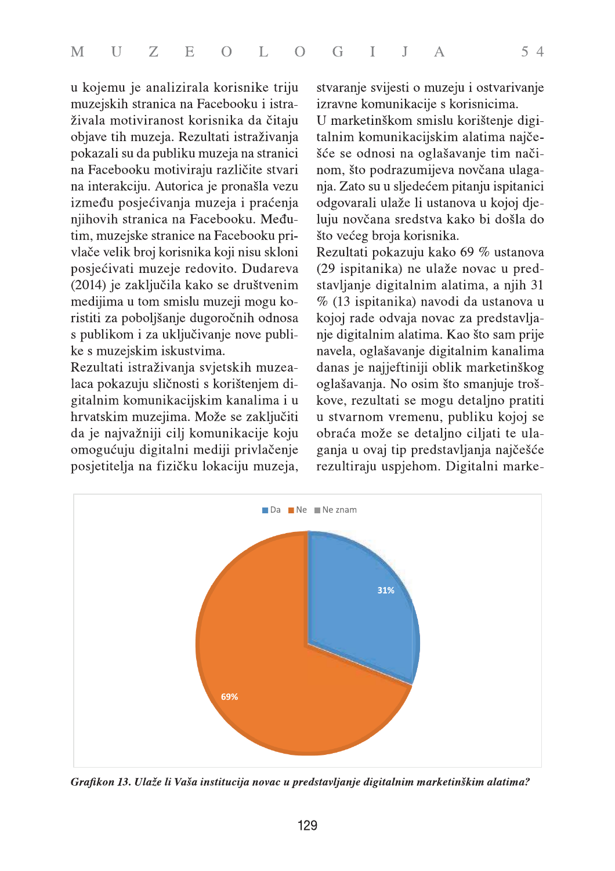|  | M U Z E O L O G I J A |  |  |  | 54 |  |
|--|-----------------------|--|--|--|----|--|
|  |                       |  |  |  |    |  |

u kojemu je analizirala korisnike triju muzejskih stranica na Facebooku i istraživala motiviranost korisnika da čitaju objave tih muzeja. Rezultati istraživanja pokazali su da publiku muzeja na stranici na Facebooku motiviraju različite stvari na interakciju. Autorica je pronašla vezu između posjećivanja muzeja i praćenja njihovih stranica na Facebooku. Međutim, muzejske stranice na Facebooku privlače velik broj korisnika koji nisu skloni posjećivati muzeje redovito. Dudareva (2014) je zaključila kako se društvenim medijima u tom smislu muzeji mogu koristiti za poboljšanje dugoročnih odnosa s publikom i za uključivanje nove publike s muzejskim iskustvima.

Rezultati istraživanja svjetskih muzealaca pokazuju sličnosti s korištenjem digitalnim komunikacijskim kanalima i u hrvatskim muzejima. Može se zaključiti da je najvažniji cilj komunikacije koju omogućuju digitalni mediji privlačenje posjetitelja na fizičku lokaciju muzeja, stvaranje svijesti o muzeju i ostvarivanje izravne komunikacije s korisnicima.

U marketinškom smislu korištenje digitalnim komunikacijskim alatima najčešće se odnosi na oglašavanje tim načinom, što podrazumijeva novčana ulaganja. Zato su u sljedećem pitanju ispitanici odgovarali ulaže li ustanova u kojoj djeluju novčana sredstva kako bi došla do što većeg broja korisnika.

Rezultati pokazuju kako 69 $\%$ ustanova (29 ispitanika) ne ulaže novac u predstavljanje digitalnim alatima, a njih 31 % (13 ispitanika) navodi da ustanova u kojoj rade odvaja novac za predstavljanje digitalnim alatima. Kao što sam prije navela, oglašavanje digitalnim kanalima danas je najjeftiniji oblik marketinškog oglašavanja. No osim što smanjuje troškove, rezultati se mogu detaljno pratiti u stvarnom vremenu, publiku kojoj se obraća može se detaljno ciljati te ulaganja u ovaj tip predstavljanja najčešće rezultiraju uspjehom. Digitalni marke-



Grafikon 13. Ulaže li Vaša institucija novac u predstavljanje digitalnim marketinškim alatima?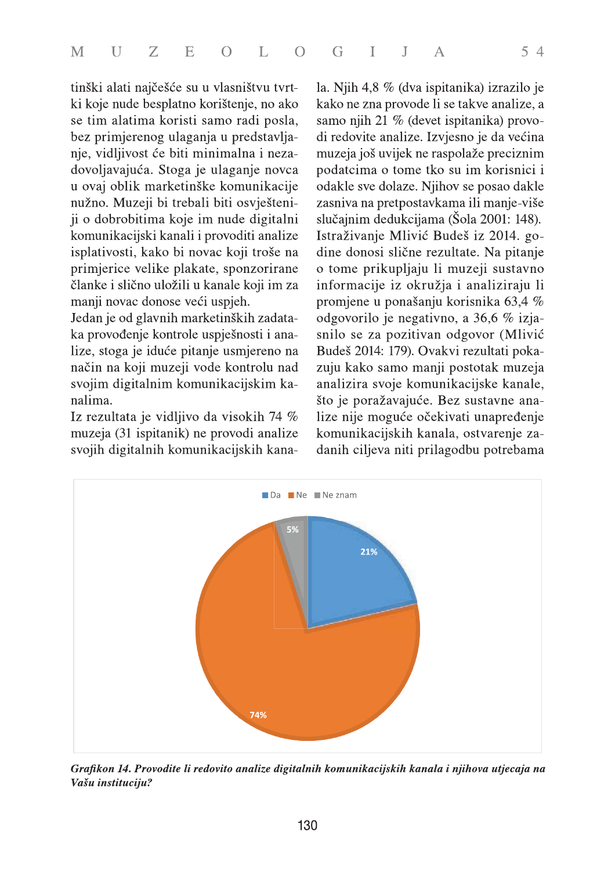tinški alati najčešće su u vlasništvu tvrtki koje nude besplatno korištenje, no ako se tim alatima koristi samo radi posla, bez primjerenog ulaganja u predstavljanje, vidljivost će biti minimalna i nezadovoljavajuća. Stoga je ulaganje novca u ovaj oblik marketinške komunikacije nužno. Muzeji bi trebali biti osvješteniji o dobrobitima koje im nude digitalni komunikacijski kanali i provoditi analize isplativosti, kako bi novac koji troše na primjerice velike plakate, sponzorirane članke i slično uložili u kanale koji im za manji novac donose veći uspjeh.

Jedan je od glavnih marketinških zadataka provođenje kontrole uspješnosti i analize, stoga je iduće pitanje usmjereno na način na koji muzeji vode kontrolu nad svojim digitalnim komunikacijskim kanalima.

Iz rezultata je vidljivo da visokih 74 % muzeja (31 ispitanik) ne provodi analize svojih digitalnih komunikacijskih kanala. Njih 4,8 % (dva ispitanika) izrazilo je kako ne zna provode li se takve analize, a samo njih 21 % (devet ispitanika) provodi redovite analize. Izvjesno je da većina muzeja još uvijek ne raspolaže preciznim podatcima o tome tko su im korisnici i odakle sve dolaze. Njihov se posao dakle zasniva na pretpostavkama ili manje-više slučajnim dedukcijama (Šola 2001: 148). Istraživanje Mlivić Budeš iz 2014. godine donosi slične rezultate. Na pitanje o tome prikupljaju li muzeji sustavno informacije iz okružja i analiziraju li promjene u ponašanju korisnika 63,4 % odgovorilo je negativno, a 36,6 % izjasnilo se za pozitivan odgovor (Mlivić Budeš 2014: 179). Ovakvi rezultati pokazuju kako samo manji postotak muzeja analizira svoje komunikacijske kanale, što je poražavajuće. Bez sustavne analize nije moguće očekivati unapređenje komunikacijskih kanala, ostvarenje zadanih ciljeva niti prilagodbu potrebama



Grafikon 14. Provodite li redovito analize digitalnih komunikacijskih kanala i njihova utjecaja na Vašu instituciju?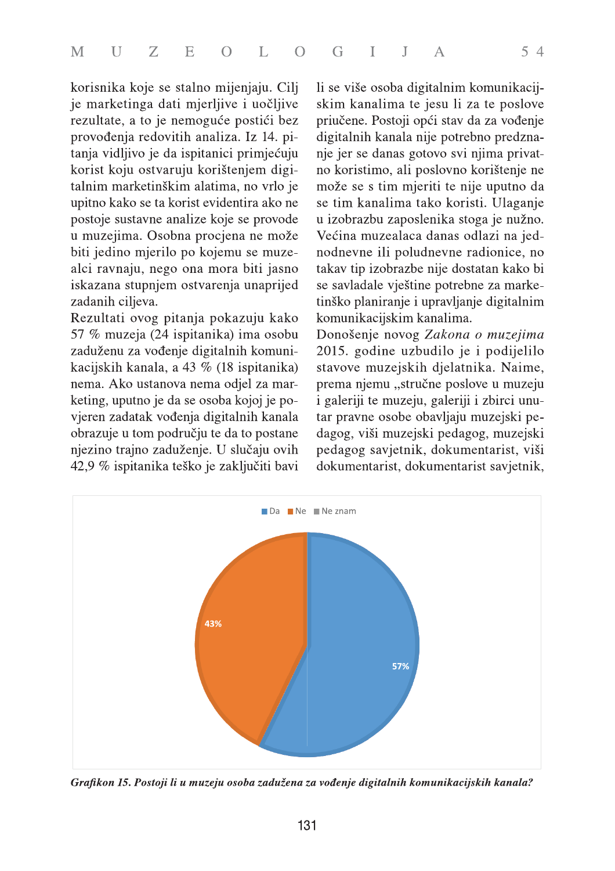korisnika koje se stalno mijenjaju. Cilj je marketinga dati mjerljive i uočljive rezultate, a to je nemoguće postići bez provođenja redovitih analiza. Iz 14. pitanja vidljivo je da ispitanici primjećuju korist koju ostvaruju korištenjem digitalnim marketinškim alatima, no vrlo je upitno kako se ta korist evidentira ako ne postoje sustavne analize koje se provode u muzejima. Osobna procjena ne može biti jedino mjerilo po kojemu se muzealci ravnaju, nego ona mora biti jasno iskazana stupnjem ostvarenja unaprijed zadanih ciljeva.

Rezultati ovog pitanja pokazuju kako 57 % muzeja (24 ispitanika) ima osobu zaduženu za vođenje digitalnih komunikacijskih kanala, a 43 % (18 ispitanika) nema. Ako ustanova nema odjel za marketing, uputno je da se osoba kojoj je povjeren zadatak vođenja digitalnih kanala obrazuje u tom području te da to postane njezino trajno zaduženje. U slučaju ovih 42,9 % ispitanika teško je zaključiti bavi

li se više osoba digitalnim komunikacijskim kanalima te jesu li za te poslove priučene. Postoji opći stav da za vođenje digitalnih kanala nije potrebno predznanje jer se danas gotovo svi njima privatno koristimo, ali poslovno korištenje ne može se s tim mjeriti te nije uputno da se tim kanalima tako koristi. Ulaganje u izobrazbu zaposlenika stoga je nužno. Većina muzealaca danas odlazi na jednodnevne ili poludnevne radionice, no takav tip izobrazbe nije dostatan kako bi se savladale vještine potrebne za marketinško planiranje i upravljanje digitalnim komunikacijskim kanalima.

Donošenje novog Zakona o muzejima 2015. godine uzbudilo je i podijelilo stavove muzejskih djelatnika. Naime, prema njemu "stručne poslove u muzeju i galeriji te muzeju, galeriji i zbirci unutar pravne osobe obavljaju muzejski pedagog, viši muzejski pedagog, muzejski pedagog savjetnik, dokumentarist, viši dokumentarist, dokumentarist savjetnik,



Grafikon 15. Postoji li u muzeju osoba zadužena za vođenje digitalnih komunikacijskih kanala?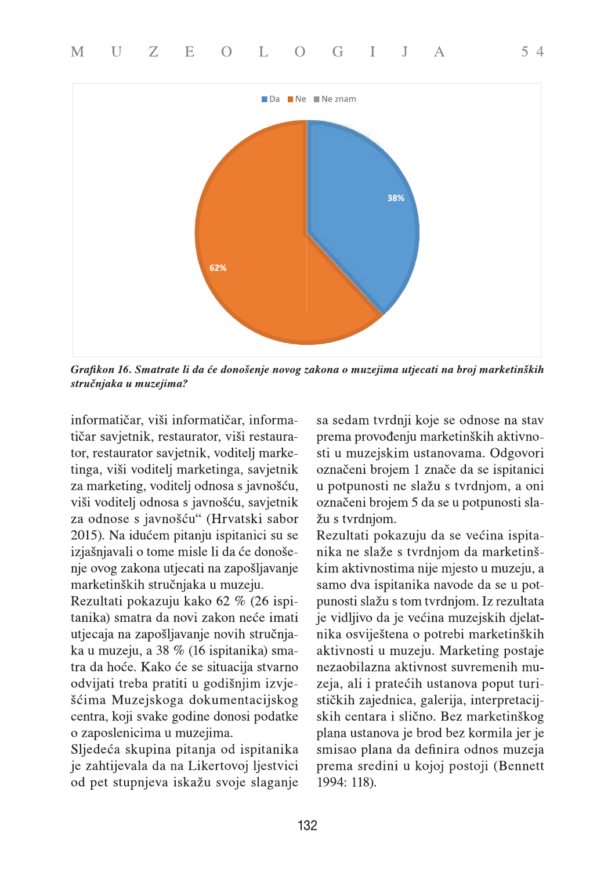

Grafikon 16. Smatrate li da će donošenje novog zakona o muzejima utjecati na broj marketinških stručnjaka u muzejima?

informatičar, viši informatičar, informatičar savjetnik, restaurator, viši restaurator, restaurator savjetnik, voditelj marketinga, viši voditelj marketinga, savjetnik za marketing, voditelj odnosa s javnošću, viši voditelj odnosa s javnošću, savjetnik za odnose s javnošću" (Hrvatski sabor 2015). Na idućem pitanju ispitanici su se izjašnjavali o tome misle li da će donošenje ovog zakona utjecati na zapošljavanje marketinških stručnjaka u muzeju.

Rezultati pokazuju kako 62 % (26 ispitanika) smatra da novi zakon neće imati utjecaja na zapošljavanje novih stručnjaka u muzeju, a 38 % (16 ispitanika) smatra da hoće. Kako će se situacija stvarno odvijati treba pratiti u godišnjim izvješćima Muzejskoga dokumentacijskog centra, koji svake godine donosi podatke o zaposlenicima u muzejima.

Sljedeća skupina pitanja od ispitanika je zahtijevala da na Likertovoj ljestvici od pet stupnjeva iskažu svoje slaganje sa sedam tvrdnji koje se odnose na stav prema provođenju marketinških aktivnosti u muzejskim ustanovama. Odgovori označeni brojem 1 znače da se ispitanici u potpunosti ne slažu s tvrdnjom, a oni označeni brojem 5 da se u potpunosti slažu s tvrdnjom.

 $54$ 

Rezultati pokazuju da se većina ispitanika ne slaže s tvrdnjom da marketinškim aktivnostima nije mjesto u muzeju, a samo dva ispitanika navode da se u potpunosti slažu s tom tvrdnjom. Iz rezultata je vidljivo da je većina muzejskih djelatnika osviještena o potrebi marketinških aktivnosti u muzeju. Marketing postaje nezaobilazna aktivnost suvremenih muzeja, ali i pratećih ustanova poput turističkih zajednica, galerija, interpretacijskih centara i slično. Bez marketinškog plana ustanova je brod bez kormila jer je smisao plana da definira odnos muzeja prema sredini u kojoj postoji (Bennett 1994: 118).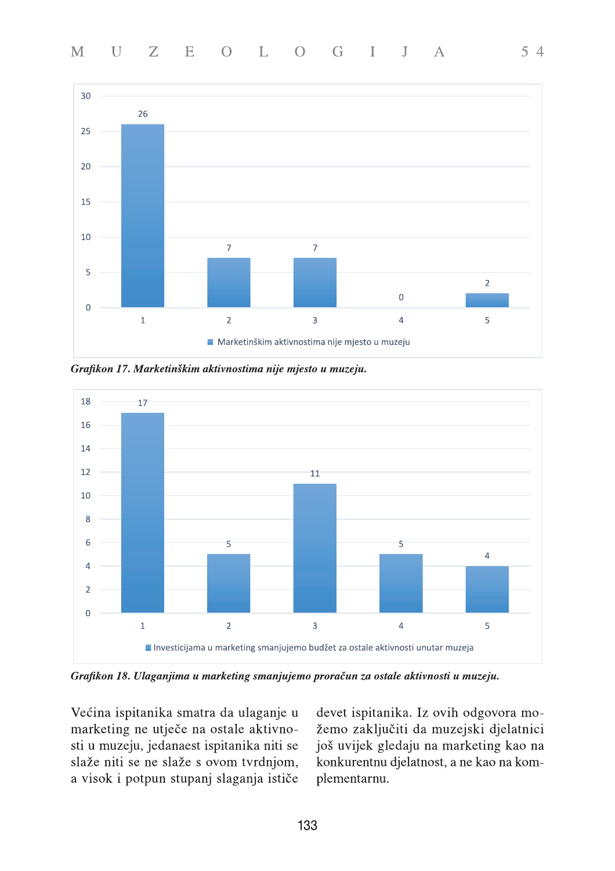

Grafikon 17. Marketinškim aktivnostima nije mjesto u muzeju.



Grafikon 18. Ulaganjima u marketing smanjujemo proračun za ostale aktivnosti u muzeju.

Većina ispitanika smatra da ulaganje u marketing ne utječe na ostale aktivnosti u muzeju, jedanaest ispitanika niti se slaže niti se ne slaže s ovom tvrdnjom, a visok i potpun stupanj slaganja ističe devet ispitanika. Iz ovih odgovora možemo zaključiti da muzejski djelatnici još uvijek gledaju na marketing kao na konkurentnu djelatnost, a ne kao na komplementarnu.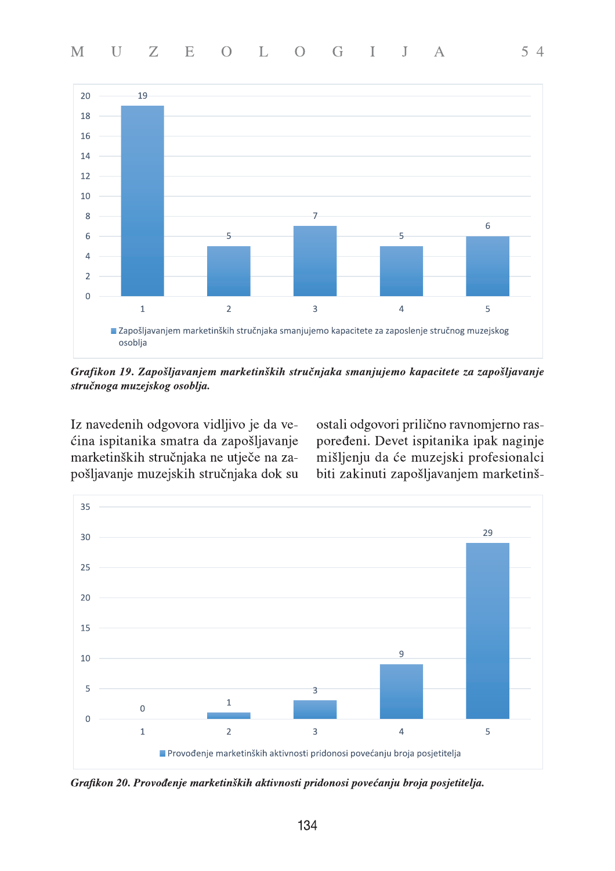

Grafikon 19. Zapošljavanjem marketinških stručnjaka smanjujemo kapacitete za zapošljavanje stručnoga muzejskog osoblja.

Iz navedenih odgovora vidljivo je da većina ispitanika smatra da zapošljavanje marketinških stručnjaka ne utječe na zapošljavanje muzejskih stručnjaka dok su ostali odgovori prilično ravnomjerno raspoređeni. Devet ispitanika ipak naginje mišljenju da će muzejski profesionalci biti zakinuti zapošljavanjem marketinš-



Grafikon 20. Provođenje marketinških aktivnosti pridonosi povećanju broja posjetitelja.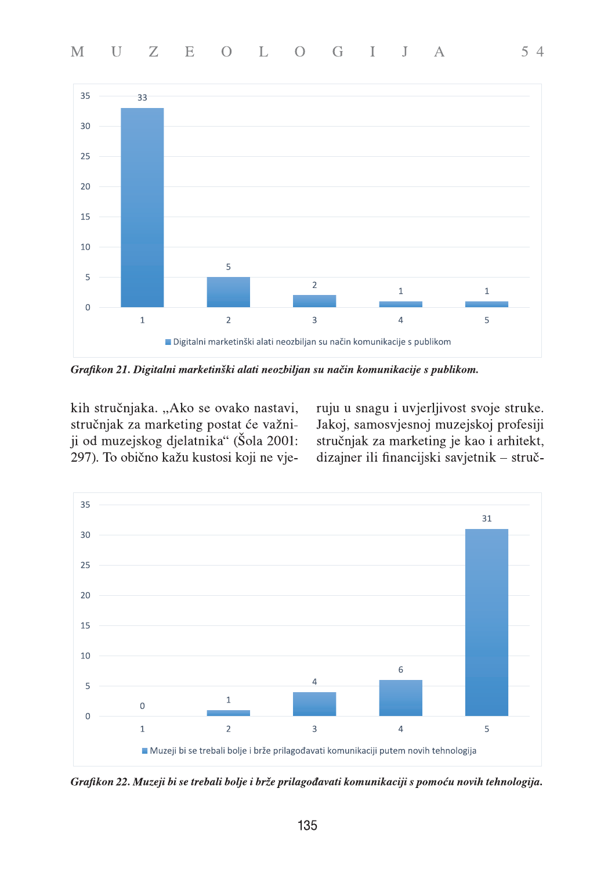

Grafikon 21. Digitalni marketinški alati neozbiljan su način komunikacije s publikom.

kih stručnjaka. "Ako se ovako nastavi, stručnjak za marketing postat će važniji od muzejskog djelatnika" (Šola 2001: 297). To obično kažu kustosi koji ne vjeruju u snagu i uvjerljivost svoje struke. Jakoj, samosvjesnoj muzejskoj profesiji stručnjak za marketing je kao i arhitekt, dizajner ili financijski savjetnik - struč-



Grafikon 22. Muzeji bi se trebali bolje i brže prilagođavati komunikaciji s pomoću novih tehnologija.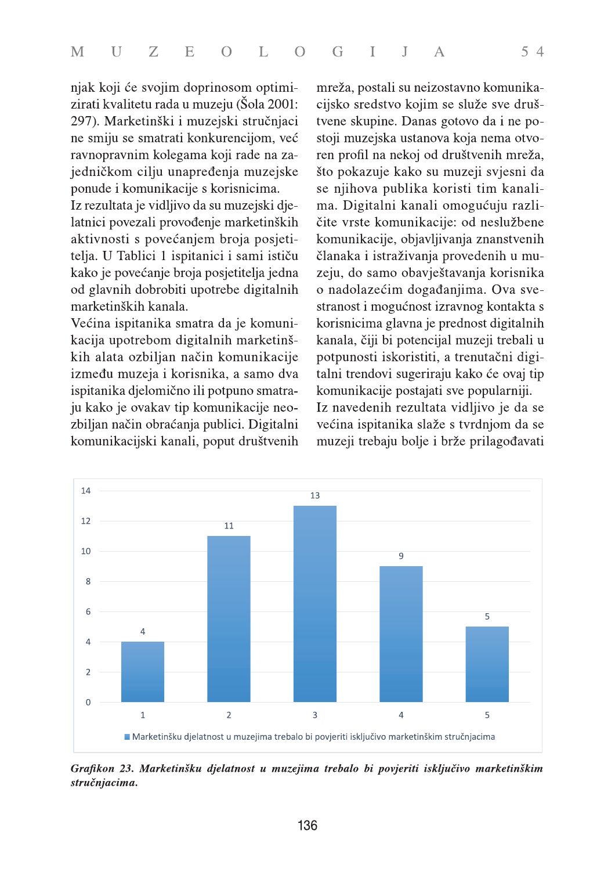njak koji će svojim doprinosom optimizirati kvalitetu rada u muzeju (Šola 2001: 297). Marketinški i muzejski stručnjaci ne smiju se smatrati konkurencijom, već ravnopravnim kolegama koji rade na zajedničkom cilju unapređenja muzejske ponude i komunikacije s korisnicima.

Iz rezultata je vidljivo da su muzejski djelatnici povezali provođenje marketinških aktivnosti s povećanjem broja posjetitelja. U Tablici 1 ispitanici i sami ističu kako je povećanje broja posjetitelja jedna od glavnih dobrobiti upotrebe digitalnih marketinških kanala.

Većina ispitanika smatra da je komunikacija upotrebom digitalnih marketinških alata ozbiljan način komunikacije između muzeja i korisnika, a samo dva ispitanika djelomično ili potpuno smatraju kako je ovakav tip komunikacije neozbiljan način obraćanja publici. Digitalni komunikacijski kanali, poput društvenih

mreža, postali su neizostavno komunikacijsko sredstvo kojim se služe sve društvene skupine. Danas gotovo da i ne postoji muzejska ustanova koja nema otvoren profil na nekoj od društvenih mreža, što pokazuje kako su muzeji svjesni da se njihova publika koristi tim kanalima. Digitalni kanali omogućuju različite vrste komunikacije: od neslužbene komunikacije, objavljivanja znanstvenih članaka i istraživanja provedenih u muzeju, do samo obavještavanja korisnika o nadolazećim događanjima. Ova svestranost i mogućnost izravnog kontakta s korisnicima glavna je prednost digitalnih kanala, čiji bi potencijal muzeji trebali u potpunosti iskoristiti, a trenutačni digitalni trendovi sugeriraju kako će ovaj tip komunikacije postajati sve popularniji. Iz navedenih rezultata vidljivo je da se većina ispitanika slaže s tvrdnjom da se muzeji trebaju bolje i brže prilagođavati



Grafikon 23. Marketinšku djelatnost u muzejima trebalo bi povjeriti isključivo marketinškim stručnjacima.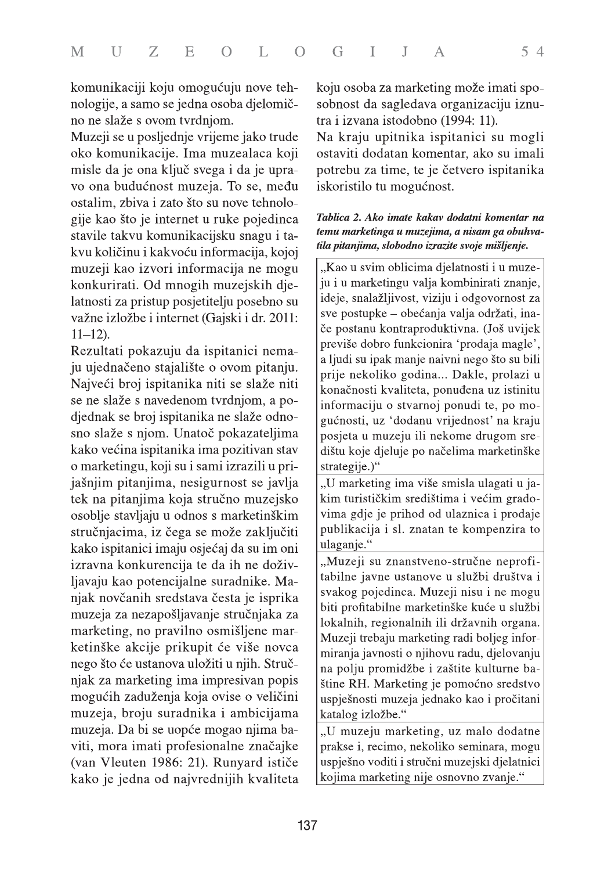komunikaciji koju omogućuju nove tehnologije, a samo se jedna osoba djelomično ne slaže s ovom tvrdnjom.

Muzeji se u posljednje vrijeme jako trude oko komunikacije. Ima muzealaca koji misle da je ona ključ svega i da je upravo ona budućnost muzeja. To se, među ostalim, zbiva i zato što su nove tehnologije kao što je internet u ruke pojedinca stavile takvu komunikacijsku snagu i takvu količinu i kakvoću informacija, kojoj muzeji kao izvori informacija ne mogu konkurirati. Od mnogih muzejskih djelatnosti za pristup posjetitelju posebno su važne izložbe i internet (Gajski i dr. 2011:  $11 - 12$ ).

Rezultati pokazuju da ispitanici nemaju ujednačeno stajalište o ovom pitanju. Najveći broj ispitanika niti se slaže niti se ne slaže s navedenom tvrdnjom, a podjednak se broj ispitanika ne slaže odnosno slaže s njom. Unatoč pokazateljima kako većina ispitanika ima pozitivan stav o marketingu, koji su i sami izrazili u prijašnjim pitanjima, nesigurnost se javlja tek na pitanjima koja stručno muzejsko osoblje stavljaju u odnos s marketinškim stručnjacima, iz čega se može zaključiti kako ispitanici imaju osjećaj da su im oni izravna konkurencija te da ih ne doživljavaju kao potencijalne suradnike. Manjak novčanih sredstava česta je isprika muzeja za nezapošljavanje stručnjaka za marketing, no pravilno osmišljene marketinške akcije prikupit će više novca nego što će ustanova uložiti u njih. Stručnjak za marketing ima impresivan popis mogućih zaduženja koja ovise o veličini muzeja, broju suradnika i ambicijama muzeja. Da bi se uopće mogao njima baviti, mora imati profesionalne značajke (van Vleuten 1986: 21). Runyard ističe kako je jedna od najvrednijih kvaliteta

koju osoba za marketing može imati sposobnost da sagledava organizaciju iznutra i izvana istodobno (1994: 11).

Na kraju upitnika ispitanici su mogli ostaviti dodatan komentar, ako su imali potrebu za time, te je četvero ispitanika iskoristilo tu mogućnost.

#### Tablica 2. Ako imate kakav dodatni komentar na temu marketinga u muzejima, a nisam ga obuhvatila pitanjima, slobodno izrazite svoje mišljenje.

"Kao u svim oblicima djelatnosti i u muzeju i u marketingu valja kombinirati znanje, ideje, snalažljivost, viziju i odgovornost za sve postupke – obećanja valja održati, inače postanu kontraproduktivna. (Još uvijek previše dobro funkcionira 'prodaja magle', a ljudi su ipak manje naivni nego što su bili prije nekoliko godina... Dakle, prolazi u konačnosti kvaliteta, ponuđena uz istinitu informaciju o stvarnoj ponudi te, po mogućnosti, uz 'dodanu vrijednost' na kraju posjeta u muzeju ili nekome drugom središtu koje djeluje po načelima marketinške strategije.)"

"U marketing ima više smisla ulagati u jakim turističkim središtima i većim gradovima gdje je prihod od ulaznica i prodaje publikacija i sl. znatan te kompenzira to ulaganje."

"Muzeji su znanstveno-stručne neprofitabilne javne ustanove u službi društva i svakog pojedinca. Muzeji nisu i ne mogu biti profitabilne marketinške kuće u službi lokalnih, regionalnih ili državnih organa. Muzeji trebaju marketing radi boljeg informiranja javnosti o njihovu radu, djelovanju na polju promidžbe i zaštite kulturne baštine RH. Marketing je pomoćno sredstvo uspješnosti muzeja jednako kao i pročitani katalog izložbe."

"U muzeju marketing, uz malo dodatne prakse i, recimo, nekoliko seminara, mogu uspješno voditi i stručni muzejski djelatnici kojima marketing nije osnovno zvanje."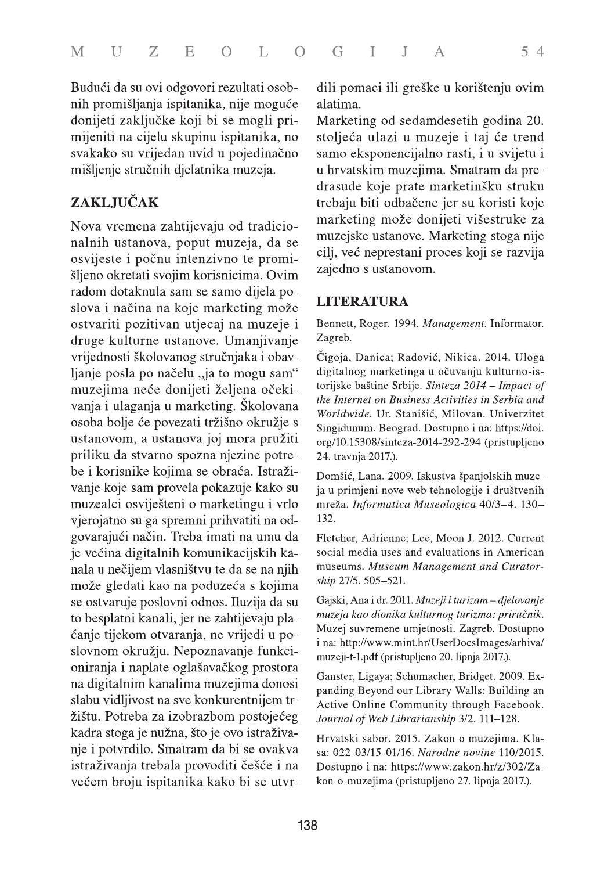Budući da su ovi odgovori rezultati osobnih promišljanja ispitanika, nije moguće donijeti zaključke koji bi se mogli primijeniti na cijelu skupinu ispitanika, no svakako su vrijedan uvid u pojedinačno mišljenje stručnih djelatnika muzeja.

## **ZAKLJUČAK**

Nova vremena zahtijevaju od tradicionalnih ustanova, poput muzeja, da se osvijeste i počnu intenzivno te promišljeno okretati svojim korisnicima. Ovim radom dotaknula sam se samo dijela poslova i načina na koje marketing može ostvariti pozitivan utjecaj na muzeje i druge kulturne ustanove. Umanjivanje vrijednosti školovanog stručnjaka i obavljanje posla po načelu "ja to mogu sam" muzejima neće donijeti željena očekivanja i ulaganja u marketing. Školovana osoba bolje će povezati tržišno okružje s ustanovom, a ustanova joj mora pružiti priliku da stvarno spozna njezine potrebe i korisnike kojima se obraća. Istraživanje koje sam provela pokazuje kako su muzealci osviješteni o marketingu i vrlo vjerojatno su ga spremni prihvatiti na odgovarajući način. Treba imati na umu da je većina digitalnih komunikacijskih kanala u nečijem vlasništvu te da se na njih može gledati kao na poduzeća s kojima se ostvaruje poslovni odnos. Iluzija da su to besplatni kanali, jer ne zahtijevaju plaćanje tijekom otvaranja, ne vrijedi u poslovnom okružju. Nepoznavanje funkcioniranja i naplate oglašavačkog prostora na digitalnim kanalima muzejima donosi slabu vidljivost na sve konkurentnijem tržištu. Potreba za izobrazbom postojećeg kadra stoga je nužna, što je ovo istraživanje i potvrdilo. Smatram da bi se ovakva istraživanja trebala provoditi češće i na većem broju ispitanika kako bi se utvrdili pomaci ili greške u korištenju ovim alatima.

Marketing od sedamdesetih godina 20. stoljeća ulazi u muzeje i taj će trend samo eksponencijalno rasti, i u svijetu i u hrvatskim muzejima. Smatram da predrasude koje prate marketinšku struku trebaju biti odbačene jer su koristi koje marketing može donijeti višestruke za muzejske ustanove. Marketing stoga nije cilj, već neprestani proces koji se razvija zajedno s ustanovom.

#### **LITERATURA**

Bennett, Roger. 1994. Management. Informator. Zagreb.

Čigoja, Danica; Radović, Nikica. 2014. Uloga digitalnog marketinga u očuvanju kulturno-istorijske baštine Srbije. Sinteza 2014 – Impact of the Internet on Business Activities in Serbia and Worldwide. Ur. Stanišić, Milovan. Univerzitet Singidunum. Beograd. Dostupno i na: https://doi. org/10.15308/sinteza-2014-292-294 (pristupljeno 24. travnja 2017.).

Domšić, Lana. 2009. Iskustva španjolskih muzeja u primjeni nove web tehnologije i društvenih mreža. Informatica Museologica 40/3-4. 130-132.

Fletcher, Adrienne; Lee, Moon J. 2012. Current social media uses and evaluations in American museums. Museum Management and Curatorship 27/5. 505-521.

Gajski, Ana i dr. 2011. Muzeji i turizam – djelovanje muzeja kao dionika kulturnog turizma: priručnik. Muzej suvremene umjetnosti. Zagreb. Dostupno i na: http://www.mint.hr/UserDocsImages/arhiva/ muzeji-t-1.pdf (pristupljeno 20. lipnja 2017.).

Ganster, Ligaya; Schumacher, Bridget. 2009. Expanding Beyond our Library Walls: Building an Active Online Community through Facebook. Journal of Web Librarianship 3/2. 111-128.

Hrvatski sabor. 2015. Zakon o muzejima. Klasa: 022-03/15-01/16. Narodne novine 110/2015. Dostupno i na: https://www.zakon.hr/z/302/Zakon-o-muzejima (pristupljeno 27. lipnja 2017.).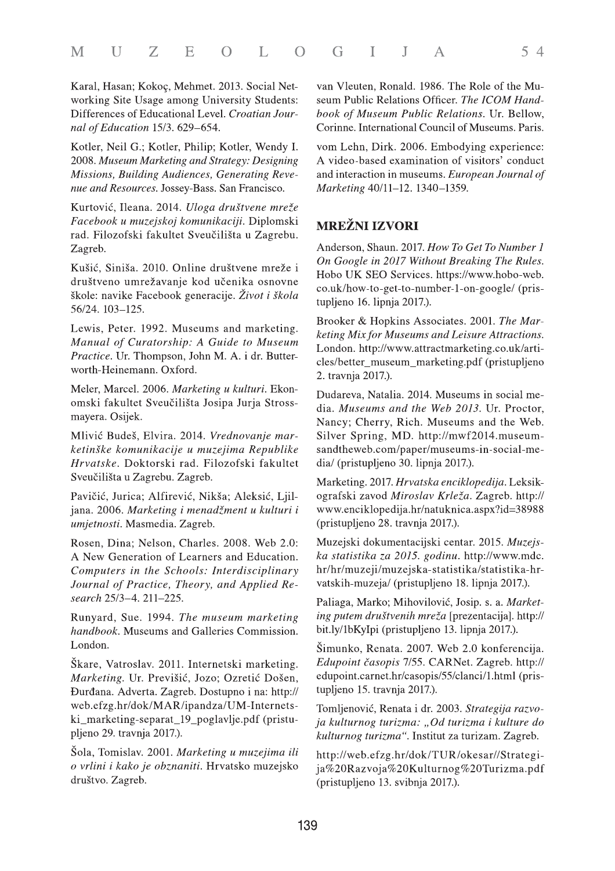Karal, Hasan; Kokoç, Mehmet. 2013. Social Networking Site Usage among University Students: Differences of Educational Level. Croatian Journal of Education 15/3. 629-654.

Kotler, Neil G.; Kotler, Philip; Kotler, Wendy I. 2008. Museum Marketing and Strategy: Designing Missions, Building Audiences, Generating Revenue and Resources. Jossey-Bass. San Francisco.

Kurtović, Ileana. 2014. Uloga društvene mreže Facebook u muzejskoj komunikaciji. Diplomski rad. Filozofski fakultet Sveučilišta u Zagrebu. Zagreb.

Kušić, Siniša. 2010. Online društvene mreže i društveno umrežavanje kod učenika osnovne škole: navike Facebook generacije. Život i škola 56/24. 103-125.

Lewis, Peter. 1992. Museums and marketing. Manual of Curatorship: A Guide to Museum Practice. Ur. Thompson, John M. A. i dr. Butterworth-Heinemann, Oxford.

Meler, Marcel. 2006. Marketing u kulturi. Ekonomski fakultet Sveučilišta Josipa Jurja Strossmayera. Osijek.

Mlivić Budeš, Elvira. 2014. Vrednovanje marketinške komunikacije u muzejima Republike Hrvatske. Doktorski rad. Filozofski fakultet Sveučilišta u Zagrebu. Zagreb.

Pavičić, Jurica; Alfirević, Nikša; Aleksić, Ljiljana. 2006. Marketing i menadžment u kulturi i umjetnosti. Masmedia. Zagreb.

Rosen, Dina; Nelson, Charles. 2008. Web 2.0: A New Generation of Learners and Education. Computers in the Schools: Interdisciplinary Journal of Practice, Theory, and Applied Research 25/3-4. 211-225.

Runyard, Sue. 1994. The museum marketing handbook. Museums and Galleries Commission. London.

Škare, Vatroslav. 2011. Internetski marketing. Marketing. Ur. Previšić, Jozo; Ozretić Došen, Đurđana. Adverta. Zagreb. Dostupno i na: http:// web.efzg.hr/dok/MAR/ipandza/UM-Internetski marketing-separat\_19\_poglavlje.pdf (pristupljeno 29. travnja 2017.).

Šola, Tomislav. 2001. Marketing u muzejima ili o vrlini i kako je obznaniti. Hrvatsko muzejsko društvo. Zagreb.

van Vleuten, Ronald, 1986. The Role of the Museum Public Relations Officer. The ICOM Handbook of Museum Public Relations. Ur. Bellow, Corinne. International Council of Museums. Paris.

vom Lehn, Dirk. 2006. Embodying experience: A video-based examination of visitors' conduct and interaction in museums. European Journal of Marketing 40/11-12. 1340-1359.

#### **MREŽNI IZVORI**

Anderson, Shaun. 2017. How To Get To Number 1 On Google in 2017 Without Breaking The Rules. Hobo UK SEO Services. https://www.hobo-web. co.uk/how-to-get-to-number-1-on-google/ (pristupljeno 16. lipnja 2017.).

Brooker & Hopkins Associates. 2001. The Marketing Mix for Museums and Leisure Attractions. London. http://www.attractmarketing.co.uk/articles/better\_museum\_marketing.pdf (pristupljeno 2. travnja 2017.).

Dudareva, Natalia, 2014. Museums in social media. Museums and the Web 2013. Ur. Proctor, Nancy; Cherry, Rich. Museums and the Web. Silver Spring, MD. http://mwf2014.museumsandtheweb.com/paper/museums-in-social-media/ (pristupljeno 30. lipnja 2017.).

Marketing. 2017. Hrvatska enciklopedija. Leksikografski zavod Miroslav Krleža. Zagreb. http:// www.enciklopedija.hr/natuknica.aspx?id=38988 (pristupljeno 28. travnja 2017.).

Muzejski dokumentacijski centar. 2015. Muzejska statistika za 2015. godinu. http://www.mdc. hr/hr/muzeji/muzejska-statistika/statistika-hrvatskih-muzeja/ (pristupljeno 18. lipnja 2017.).

Paliaga, Marko; Mihovilović, Josip. s. a. Marketing putem društvenih mreža [prezentacija]. http:// bit.ly/1bKyIpi (pristupljeno 13. lipnja 2017.).

Šimunko, Renata. 2007. Web 2.0 konferencija. Edupoint časopis 7/55. CARNet. Zagreb. http:// edupoint.carnet.hr/casopis/55/clanci/1.html (pristupljeno 15. travnja 2017.).

Tomljenović, Renata i dr. 2003. Strategija razvoja kulturnog turizma: "Od turizma i kulture do kulturnog turizma". Institut za turizam. Zagreb.

http://web.efzg.hr/dok/TUR/okesar//Strategija%20Razvoja%20Kulturnog%20Turizma.pdf (pristupljeno 13. svibnja 2017.).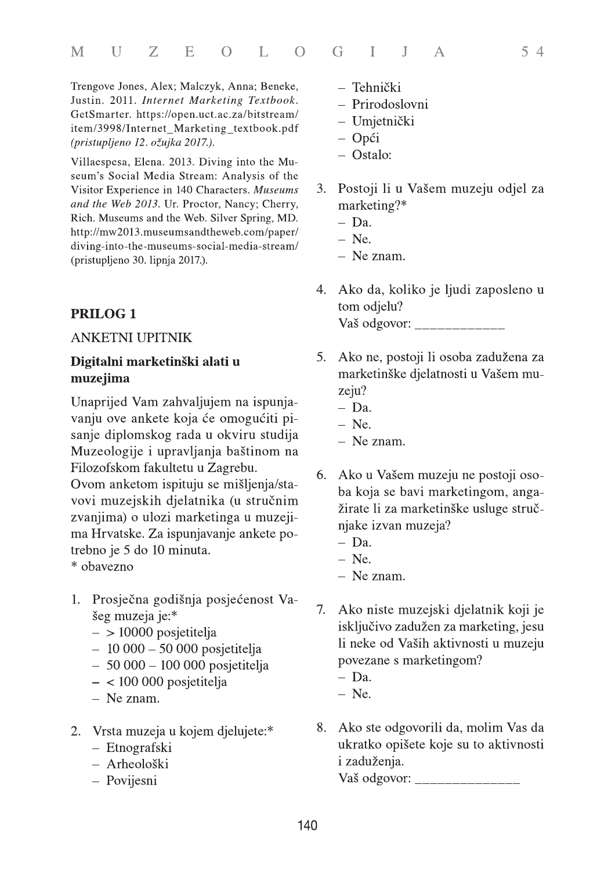Trengove Jones, Alex; Malczyk, Anna; Beneke, Justin. 2011. Internet Marketing Textbook. GetSmarter. https://open.uct.ac.za/bitstream/ item/3998/Internet\_Marketing\_textbook.pdf (pristupljeno 12. ožujka 2017.).

Villaespesa, Elena. 2013. Diving into the Museum's Social Media Stream: Analysis of the Visitor Experience in 140 Characters. Museums and the Web 2013. Ur. Proctor, Nancy; Cherry, Rich. Museums and the Web. Silver Spring, MD. http://mw2013.museumsandtheweb.com/paper/ diving-into-the-museums-social-media-stream/ (pristupljeno 30. lipnja 2017.).

## **PRILOG1**

#### **ANKETNI UPITNIK**

#### Digitalni marketinški alati u muzejima

Unaprijed Vam zahvaljujem na ispunjavanju ove ankete koja će omogućiti pisanje diplomskog rada u okviru studija Muzeologije i upravljanja baštinom na Filozofskom fakultetu u Zagrebu.

Ovom anketom ispituju se mišljenja/stavovi muzejskih djelatnika (u stručnim zvanjima) o ulozi marketinga u muzejima Hrvatske. Za ispunjavanje ankete potrebno je 5 do 10 minuta.

\* obavezno

- 1. Prosječna godišnja posjećenost Vašeg muzeja je:\*
	- $-$  > 10000 posjetitelja
	- $-10000 50000$  posjetitelja
	- $-50000 100000$  posjetitelja
	- $-$  < 100 000 posjetitelja
	- $-$  Ne znam.
- 2. Vrsta muzeja u kojem djelujete:\*
	- Etnografski
	- Arheološki
	- Povijesni
- Tehnički
- Prirodoslovni
- Umjetnički
- $-$  Opći
- $-$  Ostalo:
- $3.$ Postoji li u Vašem muzeju odjel za marketing?\*
	- $-$  Da.
	- $-$  Ne.
	- $-$  Ne znam.
- Ako da, koliko je ljudi zaposleno u 4. tom odjelu? Vaš odgovor:
- Ako ne, postoji li osoba zadužena za 5. marketinške djelatnosti u Vašem muzeju?
	- $-$  Da.
	- $-$  Ne.
	- $-$  Ne znam.
- Ako u Vašem muzeju ne postoji oso-6. ba koja se bavi marketingom, angažirate li za marketinške usluge stručnjake izvan muzeja?
	- $-$  Da.
	- $-$  Ne.
	- $-$  Ne znam.
- $7.$ Ako niste muzejski djelatnik koji je isključivo zadužen za marketing, jesu li neke od Vaših aktivnosti u muzeju povezane s marketingom?
	- $-$  Da.
	- $-$  Ne.
- 8. Ako ste odgovorili da, molim Vas da ukratko opišete koje su to aktivnosti i zaduženja.

Vaš odgovor: \_\_\_\_\_\_\_\_\_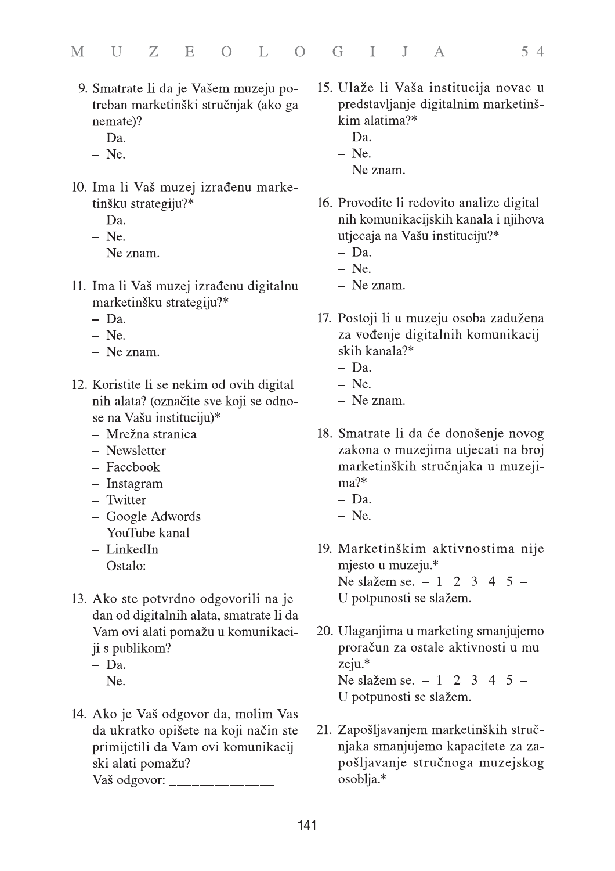- 9. Smatrate li da je Vašem muzeju potreban marketinški stručnjak (ako ga nemate)?
	- $-$  Da.
	- $-$  Ne.
- 10. Ima li Vaš muzej izrađenu marketinšku strategiju?\*
	- $-$  Da.
	- $-$  Ne.
	- $-$  Ne znam.
- 11. Ima li Vaš muzej izrađenu digitalnu marketinšku strategiju?\*
	- $-$  Da.
	- $-$  Ne.
	- $-$  Ne znam.
- 12. Koristite li se nekim od ovih digitalnih alata? (označite sve koji se odnose na Vašu instituciju)\*
	- Mrežna stranica
	- Newsletter
	- Facebook
	- $-$  Instagram
	- Twitter
	- Google Adwords
	- YouTube kanal
	- $-$  LinkedIn
	- Ostalo:
- 13. Ako ste potvrdno odgovorili na jedan od digitalnih alata, smatrate li da Vam ovi alati pomažu u komunikaciji s publikom?
	- $-$  Da.
	- $-$  Ne.
- 14. Ako je Vaš odgovor da, molim Vas da ukratko opišete na koji način ste primijetili da Vam ovi komunikacijski alati pomažu? Vaš odgovor:
- 15. Ulaže li Vaša institucija novac u predstavljanje digitalnim marketinškim alatima?\*
	- $-$  Da.
	- $-$  Ne.
	- $-$  Ne znam.
- 16. Provodite li redovito analize digitalnih komunikacijskih kanala i njihova utjecaja na Vašu instituciju?\*
	- $-$  Da.
	- $-$  Ne.
	- $-$  Ne znam.
- 17. Postoji li u muzeju osoba zadužena za vođenje digitalnih komunikacijskih kanala?\*
	- $-$  Da.
	- $-$  Ne.
	- $-$  Ne znam.
- 18. Smatrate li da će donošenje novog zakona o muzejima utjecati na broj marketinških stručnjaka u muzeji $ma$ ?\*
	- $-$  Da.
	- $-$  Ne.
- 19. Marketinškim aktivnostima nije mjesto u muzeju.\* Ne slažem se.  $-1$  2 3 4 5  $-$ U potpunosti se slažem.
- 20. Ulaganjima u marketing smanjujemo proračun za ostale aktivnosti u muzeju.\* Ne slažem se.  $-1$  2 3 4 5  $-$ U potpunosti se slažem.
- 21. Zapošljavanjem marketinških stručnjaka smanjujemo kapacitete za zapošljavanje stručnoga muzejskog osoblja.\*